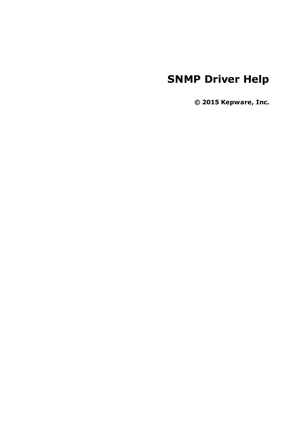# **SNMP Driver Help**

**© 2015 Kepware, Inc.**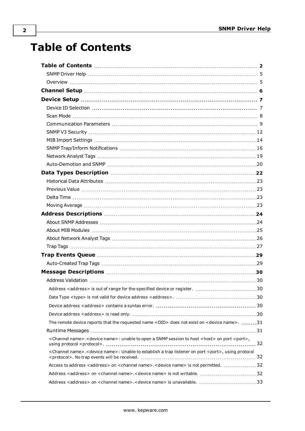# <span id="page-1-0"></span>**Table of Contents**

| Address <address> is out of range for the specified device or register. 30</address>                                              |  |
|-----------------------------------------------------------------------------------------------------------------------------------|--|
|                                                                                                                                   |  |
|                                                                                                                                   |  |
|                                                                                                                                   |  |
| The remote device reports that the requested name <oid> does not exist on <device name="">. 31</device></oid>                     |  |
|                                                                                                                                   |  |
| <channel name="">.<device name="">: unable to open a SNMP session to host <host> on port <port>,</port></host></device></channel> |  |
| <channel name="">.<device name="">: Unable to establish a trap listener on port <port>, using protocol</port></device></channel>  |  |
| Access to address <address> on <channel name="">.<device name=""> is not permitted. 32</device></channel></address>               |  |
|                                                                                                                                   |  |
| Address <address> on <channel name="">.<device name=""> is unavailable. 33</device></channel></address>                           |  |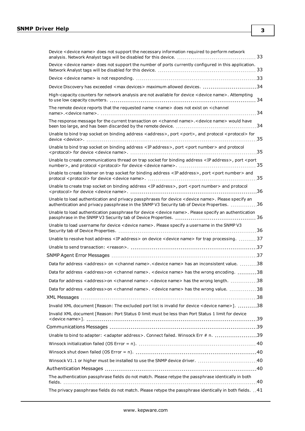| Device <device name=""> does not support the necessary information required to perform network</device>                                                                                          |
|--------------------------------------------------------------------------------------------------------------------------------------------------------------------------------------------------|
| Device <device name=""> does not support the number of ports currently configured in this application.</device>                                                                                  |
|                                                                                                                                                                                                  |
| Device Discovery has exceeded <max devices=""> maximum allowed devices. 34</max>                                                                                                                 |
| High-capacity counters for network analysis are not available for device < device name>. Attempting                                                                                              |
| The remote device reports that the requested name <name> does not exist on <channel< td=""></channel<></name>                                                                                    |
| The response message for the current transaction on <channel name="">.<device name=""> would have</device></channel>                                                                             |
| Unable to bind trap socket on binding address <address>, port <port>, and protocol <protocol> for</protocol></port></address>                                                                    |
| Unable to bind trap socket on binding address <ip address="">, port <port number=""> and protocol</port></ip>                                                                                    |
| Unable to create communications thread on trap socket for binding address <ip address="">, port <port< td=""></port<></ip>                                                                       |
| Unable to create listener on trap socket for binding address <ip address="">, port <port number=""> and</port></ip>                                                                              |
| Unable to create trap socket on binding address <ip address="">, port <port number=""> and protocol</port></ip>                                                                                  |
| Unable to load authentication and privacy passphrases for device < device name>. Please specify an<br>authentication and privacy passphrase in the SNMP V3 Security tab of Device Properties. 36 |
| Unable to load authentication passphrase for device <device name="">. Please specify an authentication</device>                                                                                  |
| Unable to load username for device < device name>. Please specify a username in the SNMP V3                                                                                                      |
| Unable to resolve host address <ip address=""> on device <device name=""> for trap processing.  37</device></ip>                                                                                 |
|                                                                                                                                                                                                  |
|                                                                                                                                                                                                  |
| Data for address <address> on <channel name="">.<device name=""> has an inconsistent value. 38</device></channel></address>                                                                      |
| Data for address <address>on <channel name="">. <device name=""> has the wrong encoding. 38</device></channel></address>                                                                         |
| Data for address <address>on <channel name="">.<device name=""> has the wrong length. 38</device></channel></address>                                                                            |
| Data for address <address>on <channel name="">. <device name=""> has the wrong value. 38</device></channel></address>                                                                            |
|                                                                                                                                                                                                  |
| Invalid XML document [Reason: The excluded port list is invalid for device < device name>]. 38                                                                                                   |
| Invalid XML document [Reason: Port Status 0 limit must be less than Port Status 1 limit for device                                                                                               |
|                                                                                                                                                                                                  |
| Unable to bind to adapter: <adapter address="">. Connect failed. Winsock Err # n. 39</adapter>                                                                                                   |
|                                                                                                                                                                                                  |
|                                                                                                                                                                                                  |
|                                                                                                                                                                                                  |
|                                                                                                                                                                                                  |
|                                                                                                                                                                                                  |
| The authentication passphrase fields do not match. Please retype the passphrase identically in both                                                                                              |

**3**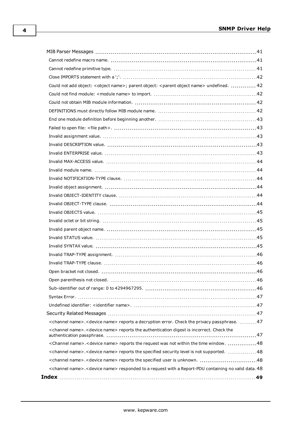| Could not add object: <object name="">; parent object: <parent name="" object=""> undefined.  42</parent></object>          |  |
|-----------------------------------------------------------------------------------------------------------------------------|--|
|                                                                                                                             |  |
|                                                                                                                             |  |
|                                                                                                                             |  |
|                                                                                                                             |  |
|                                                                                                                             |  |
|                                                                                                                             |  |
|                                                                                                                             |  |
|                                                                                                                             |  |
|                                                                                                                             |  |
|                                                                                                                             |  |
|                                                                                                                             |  |
|                                                                                                                             |  |
|                                                                                                                             |  |
|                                                                                                                             |  |
|                                                                                                                             |  |
|                                                                                                                             |  |
|                                                                                                                             |  |
|                                                                                                                             |  |
|                                                                                                                             |  |
|                                                                                                                             |  |
|                                                                                                                             |  |
|                                                                                                                             |  |
|                                                                                                                             |  |
|                                                                                                                             |  |
|                                                                                                                             |  |
|                                                                                                                             |  |
|                                                                                                                             |  |
| <channel name="">.<device name=""> reports a decryption error. Check the privacy passphrase. 47</device></channel>          |  |
| <channel name="">.<device name=""> reports the authentication digest is incorrect. Check the</device></channel>             |  |
| <channel name="">.<device name=""> reports the request was not within the time window. 48</device></channel>                |  |
| <channel name="">.<device name=""> reports the specified security level is not supported.  48</device></channel>            |  |
|                                                                                                                             |  |
| <channel name="">.<device name=""> responded to a request with a Report-PDU containing no valid data. 48</device></channel> |  |
|                                                                                                                             |  |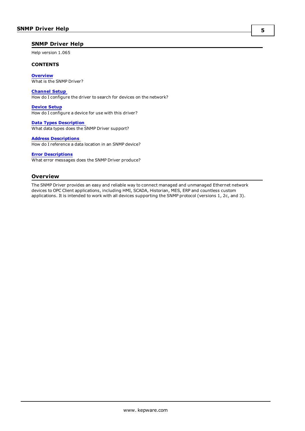### <span id="page-4-0"></span>**SNMP Driver Help**

Help version 1.065

### **CONTENTS**

**[Overview](#page-4-1)** What is the SNMP Driver?

#### **[Channel](#page-5-0) Setup**

How do I configure the driver to search for devices on the network?

**[Device](#page-6-0) Setup** How do I configure a device for use with this driver?

**Data Types [Description](#page-21-0)** What data types does the SNMP Driver support?

#### **Address [Descriptions](#page-23-0)**

How do I reference a data location in an SNMP device?

**Error [Descriptions](#page-29-0)** What error messages does the SNMP Driver produce?

## <span id="page-4-1"></span>**Overview**

The SNMP Driver provides an easy and reliable way to connect managed and unmanaged Ethernet network devices to OPC Client applications, including HMI, SCADA, Historian, MES, ERP and countless custom applications. It is intended to work with all devices supporting the SNMP protocol (versions 1, 2c, and 3).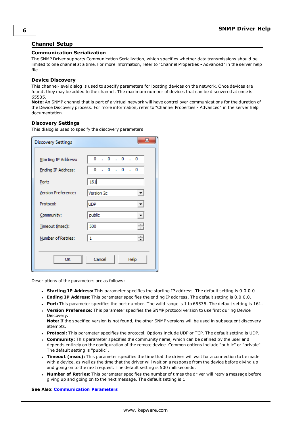## <span id="page-5-0"></span>**Channel Setup**

#### **Communication Serialization**

The SNMP Driver supports Communication Serialization, which specifies whether data transmissions should be limited to one channel at a time. For more information, refer to "Channel Properties - Advanced" in the server help file.

#### **Device Discovery**

This channel-level dialog is used to specify parameters for locating devices on the network. Once devices are found, they may be added to the channel. The maximum number of devices that can be discovered at once is 65535.

**Note:** An SNMP channel that is part of a virtual network will have control over communications for the duration of the Device Discovery process. For more information, refer to "Channel Properties - Advanced" in the server help documentation.

#### **Discovery Settings**

This dialog is used to specify the discovery parameters.

| <b>Discovery Settings</b> | x                                      |
|---------------------------|----------------------------------------|
|                           |                                        |
| Starting IP Address:      | 0.0.0.0.0                              |
| Ending IP Address:        | 0.0.0.0.0                              |
| Port:                     | 161                                    |
| Version Preference:       | Version 2c<br>۳                        |
| Protocol:                 | <b>UDP</b><br>$\vert \mathbf{v} \vert$ |
| Community:                | public<br>$\vert \cdot \vert$          |
| Timeout (msec):           | 싂<br>500                               |
| Number of Retries:        | ÷<br>1                                 |
|                           |                                        |
| OK                        | Cancel<br>Help                         |

Descriptions of the parameters are as follows:

- **Starting IP Address:** This parameter specifies the starting IP address. The default setting is 0.0.0.0.
- <sup>l</sup> **Ending IP Address:** This parameter specifies the ending IP address. The default setting is 0.0.0.0.
- <sup>l</sup> **Port:** This parameter specifies the port number. The valid range is 1 to 65535. The default setting is 161.
- **· Version Preference:** This parameter specifies the SNMP protocol version to use first during Device Discovery.

**Note:** If the specified version is not found, the other SNMP versions will be used in subsequent discovery attempts.

- **Protocol:** This parameter specifies the protocol. Options include UDP or TCP. The default setting is UDP.
- **Community:** This parameter specifies the community name, which can be defined by the user and depends entirely on the configuration of the remote device. Common options include "public" or "private". The default setting is "public".
- <sup>l</sup> **Timeout (msec):** This parameter specifies the time that the driver will wait for a connection to be made with a device, as well as the time that the driver will wait on a response from the device before giving up and going on to the next request. The default setting is 500 milliseconds.
- <sup>l</sup> **Number of Retries:** This parameter specifies the number of times the driver will retry a message before giving up and going on to the next message. The default setting is 1.

**See Also: [Communication](#page-8-0) Parameters**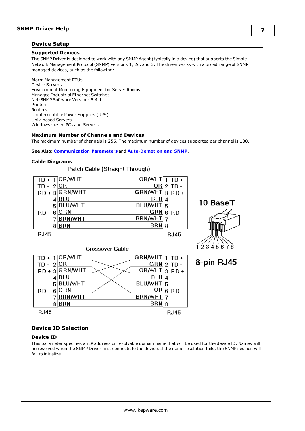## <span id="page-6-0"></span>**Device Setup**

#### **Supported Devices**

The SNMP Driver is designed to work with any SNMP Agent (typically in a device) that supports the Simple Network Management Protocol (SNMP) versions 1, 2c, and 3. The driver works with a broad range of SNMP managed devices, such as the following:

Alarm Management RTUs Device Servers Environment Monitoring Equipment for Server Rooms Managed Industrial Ethernet Switches Net-SNMP Software Version: 5.4.1 Printers Routers Uninterruptible Power Supplies (UPS) Unix-based Servers Windows-based PCs and Servers

#### **Maximum Number of Channels and Devices**

The maximum number of channels is 256. The maximum number of devices supported per channel is 100.

#### **See Also: [Communication](#page-8-0) Parameters** and **[Auto-Demotion](#page-19-0) and SNMP**.

#### **Cable Diagrams**

## Patch Cable (Straight Through)

| TD +<br>TD -<br>$RD + 3$<br>5 | <b>OR/WHT</b><br>OR<br><b>GRN/WHT</b><br>4 BLU<br><b>BLU/WHT</b><br>GRN | <b>OR/WHT</b><br>OR <br>GRN/WHT<br>BLU 4<br>BLU/WHT<br>GRN | 2 TD<br>$3$ RD +<br>-5 | 10 BaseT          |
|-------------------------------|-------------------------------------------------------------------------|------------------------------------------------------------|------------------------|-------------------|
| RD -<br>6                     | <b>BRN/WHT</b><br>$8$ BRN                                               | <b>BRN/WHT</b><br>BRN 8                                    | $6$ RD -               |                   |
| <b>RJ45</b>                   | Crossover Cable                                                         |                                                            | <b>RJ45</b>            | 12345678          |
|                               | )R/WHT                                                                  | GRN/WHT                                                    |                        | D <i>iae</i><br>ο |

| 11. T        | $ U \cap T$ it is it. | <b>GRIVITHI</b> |   | $111 +$     |
|--------------|-----------------------|-----------------|---|-------------|
| TD - $2 OR$  |                       | $GRN$ 2 TD -    |   |             |
|              | RD + 3 GRN/WHT        | OR/WHT 3 RD +   |   |             |
|              | 4 BLU                 | BLU             |   |             |
|              | 5 BLU/WHT             | BLU/WHT 5       |   |             |
| $RD - 6$ GRN |                       | OR              |   | $RD -$      |
|              | <b>BRN/WHT</b>        | <b>BRN/WHT</b>  |   |             |
| 8            | BRN                   | <b>BRN</b>      | 8 |             |
| <b>RJ45</b>  |                       |                 |   | <b>RJ45</b> |



#### <span id="page-6-1"></span>**Device ID Selection**

#### **Device ID**

This parameter specifies an IP address or resolvable domain name that will be used for the device ID. Names will be resolved when the SNMP Driver first connects to the device. If the name resolution fails, the SNMP session will fail to initialize.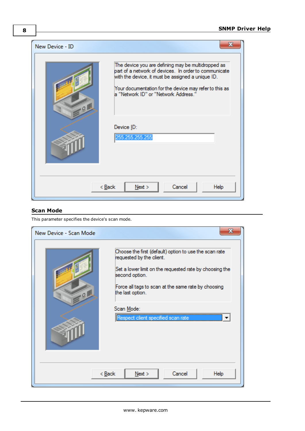

## <span id="page-7-0"></span>**Scan Mode**

This parameter specifies the device's scan mode.

| New Device - Scan Mode | x                                                                                                                                                                                                                                                                                              |
|------------------------|------------------------------------------------------------------------------------------------------------------------------------------------------------------------------------------------------------------------------------------------------------------------------------------------|
| .01                    | Choose the first (default) option to use the scan rate<br>requested by the client.<br>Set a lower limit on the requested rate by choosing the<br>second option.<br>Force all tags to scan at the same rate by choosing<br>the last option.<br>Scan Mode:<br>Respect client specified scan rate |
|                        | $<$ Back<br>Cancel<br>Next<br>Help                                                                                                                                                                                                                                                             |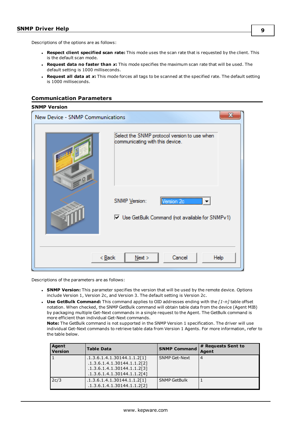Descriptions of the options are as follows:

- <sup>l</sup> **Respect client specified scan rate:** This mode uses the scan rate that is requested by the client. This is the default scan mode.
- <sup>l</sup> **Request data no faster than** *x***:** This mode specifies the maximum scan rate that will be used. The default setting is 1000 milliseconds.
- <sup>l</sup> **Request all data at** *x***:** This mode forces all tags to be scanned at the specified rate. The default setting is 1000 milliseconds.

## <span id="page-8-0"></span>**Communication Parameters**

#### **SNMP Version**

| New Device - SNMP Communications |                                                                                    |
|----------------------------------|------------------------------------------------------------------------------------|
| $-9$                             | Select the SNMP protocol version to use when<br>communicating with this device.    |
|                                  | SNMP Version:<br>Version 2c<br>▼<br>Use GetBulk Command (not available for SNMPv1) |
|                                  | $<$ Back<br>Cancel<br>Next<br>Help                                                 |

Descriptions of the parameters are as follows:

- <sup>l</sup> **SNMP Version:** This parameter specifies the version that will be used by the remote device. Options include Version 1, Version 2c, and Version 3. The default setting is Version 2c.
- <sup>l</sup> **Use GetBulk Command:** This command applies to OID addresses ending with the *[1-n]* table offset notation. When checked, the SNMP GetBulk command will obtain table data from the device (Agent MIB) by packaging multiple Get-Next commands in a single request to the Agent. The GetBulk command is more efficient than individual Get-Next commands.

**Note:** The GetBulk command is not supported in the SNMP Version 1 specification. The driver will use individual Get-Next commands to retrieve table data from Version 1 Agents. For more information, refer to the table below.

| Agent<br><b>Version</b> | <b>Table Data</b>                                                                                                        | <b>SNMP Command</b>  | # Requests Sent to<br>Agent |
|-------------------------|--------------------------------------------------------------------------------------------------------------------------|----------------------|-----------------------------|
|                         | .1.3.6.1.4.1.30144.1.1.2[1]<br>.1.3.6.1.4.1.30144.1.1.2[2]<br>.1.3.6.1.4.1.30144.1.1.2[3]<br>.1.3.6.1.4.1.30144.1.1.2[4] | <b>SNMP Get-Next</b> | 4                           |
| 2c/3                    | .1.3.6.1.4.1.30144.1.1.2[1]<br>.1.3.6.1.4.1.30144.1.1.2[2]                                                               | <b>SNMP GetBulk</b>  |                             |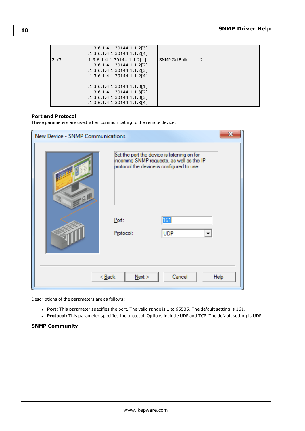|      | .1.3.6.1.4.1.30144.1.1.2[3]<br>.1.3.6.1.4.1.30144.1.1.2[4]                                                                                                                                                                                           |                     |  |
|------|------------------------------------------------------------------------------------------------------------------------------------------------------------------------------------------------------------------------------------------------------|---------------------|--|
| 2c/3 | .1.3.6.1.4.1.30144.1.1.2[1]<br>.1.3.6.1.4.1.30144.1.1.2[2]<br>.1.3.6.1.4.1.30144.1.1.2[3]<br>.1.3.6.1.4.1.30144.1.1.2[4]<br>.1.3.6.1.4.1.30144.1.1.3[1]<br>.1.3.6.1.4.1.30144.1.1.3[2]<br>.1.3.6.1.4.1.30144.1.1.3[3]<br>.1.3.6.1.4.1.30144.1.1.3[4] | <b>SNMP GetBulk</b> |  |

#### <span id="page-9-0"></span>**Port and Protocol**

These parameters are used when communicating to the remote device.

| New Device - SNMP Communications |                                                                                                                                       | х    |
|----------------------------------|---------------------------------------------------------------------------------------------------------------------------------------|------|
| $-9$                             | Set the port the device is listening on for<br>incoming SNMP requests, as well as the IP<br>protocol the device is configured to use. |      |
|                                  | 161<br>Port:<br><b>UDP</b><br>Protocol:                                                                                               |      |
|                                  | Cancel<br>< Back<br>$N$ ext >                                                                                                         | Help |

Descriptions of the parameters are as follows:

- <span id="page-9-1"></span>**Port:** This parameter specifies the port. The valid range is 1 to 65535. The default setting is 161.
- **Protocol:** This parameter specifies the protocol. Options include UDP and TCP. The default setting is UDP.

#### **SNMP Community**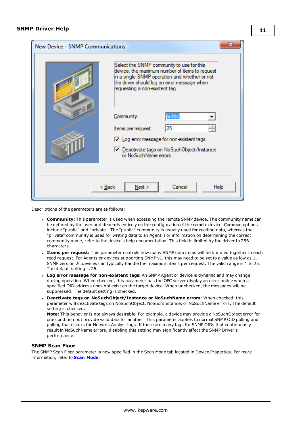| <b>New Device - SNMP Communications</b> |                                                                                                                                                                                                                               |
|-----------------------------------------|-------------------------------------------------------------------------------------------------------------------------------------------------------------------------------------------------------------------------------|
|                                         | Select the SNMP community to use for this<br>device, the maximum number of items to request<br>in a single SNMP operation and whether or not<br>the driver should log an error message when<br>requesting a non-existent tag. |
|                                         | public<br>Community:<br>25<br>tems per request:<br>$\nabla$ Log error message for non-existent tags<br>Deactivate tags on NoSuchObject/Instance<br>or NoSuchName errors                                                       |
|                                         | Cancel<br>< <u>B</u> ack<br>Next<br>Help                                                                                                                                                                                      |

Descriptions of the parameters are as follows:

- **Community:** This parameter is used when accessing the remote SNMP device. The community name can be defined by the user and depends entirely on the configuration of the remote device. Common options include "public" and "private". The "public" community is usually used for reading data, whereas the "private" community is used for writing data to an Agent. For information on determining the correct community name, refer to the device's help documentation. This field is limited by the driver to 256 characters.
- <sup>l</sup> **Items per request:** This parameter controls how many SNMP data items will be bundled together in each read request. For Agents or devices supporting SNMP v1, this may need to be set to a value as low as 1. SNMP version 2c devices can typically handle the maximum items per request. The valid range is 1 to 25. The default setting is 25.
- <sup>l</sup> **Log error message for non-existent tags:** An SNMP Agent or device is dynamic and may change during operation. When checked, this parameter has the OPC server display an error notice when a specified OID address does not exist on the target device. When unchecked, the messages will be suppressed. The default setting is checked.
- <sup>l</sup> **Deactivate tags on NoSuchObject/Instance or NoSuchName errors:** When checked, this parameter will deactivate tags on NoSuchObject, NoSuchInstance, or NoSuchName errors. The default setting is checked.

**Note:** This behavior is not always desirable. For example, a device may provide a NoSuchObject error for one condition but provide valid data for another. This parameter applies to normal SNMP OID polling and polling that occurs for Network Analyst tags. If there are many tags for SNMP OIDs that continuously result in NoSuchName errors, disabling this setting may significantly affect the SNMP Driver's performance.

#### **SNMP Scan Floor**

The SNMP Scan Floor parameter is now specified in the Scan Mode tab located in Device Properties. For more information, refer to **Scan [Mode](#page-7-0)**.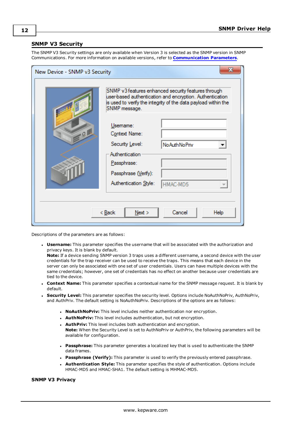## <span id="page-11-0"></span>**SNMP V3 Security**

The SNMP V3 Security settings are only available when Version 3 is selected as the SNMP version in SNMP Communications. For more information on available versions, refer to **[Communication](#page-8-0) Parameters**.

| x<br>New Device - SNMP v3 Security |                                                                                                                                |                                                                                                                                                                                   |
|------------------------------------|--------------------------------------------------------------------------------------------------------------------------------|-----------------------------------------------------------------------------------------------------------------------------------------------------------------------------------|
|                                    | SNMP message.                                                                                                                  | SNMP v3 features enhanced security features through<br>user-based authentication and encryption. Authentication<br>is used to verify the integrity of the data payload within the |
| 9                                  | Usemame:<br>Context Name:<br>Security Level:<br>Authentication<br>Passphrase:<br>Passphrase (Verify):<br>Authentication Style: | <b>No Auth No Priv</b><br>HMAC-MD5                                                                                                                                                |
|                                    | < <u>B</u> ack<br>Next                                                                                                         | Cancel<br>Help                                                                                                                                                                    |

Descriptions of the parameters are as follows:

**Username:** This parameter specifies the username that will be associated with the authorization and privacy keys. It is blank by default.

**Note:** If a device sending SNMP version 3 traps uses a different username, a second device with the user credentials for the trap receiver can be used to receive the traps. This means that each device in the server can only be associated with one set of user credentials. Users can have multiple devices with the same credentials; however, one set of credentials has no effect on another because user credentials are tied to the device.

- <sup>l</sup> **Context Name:** This parameter specifies a contextual name for the SNMP message request. It is blank by default.
- <sup>l</sup> **Security Level:** This parameter specifies the security level. Options include NoAuthNoPriv, AuthNoPriv, and AuthPriv. The default setting is NoAuthNoPriv. Descriptions of the options are as follows:
	- **· NoAuthNoPriv:** This level includes neither authentication nor encryption.
	- **AuthNoPriv:** This level includes authentication, but not encryption.
	- **AuthPriv:** This level includes both authentication and encryption. **Note:** When the Security Level is set to AuthNoPriv or AuthPriv, the following parameters will be available for configuration.
	- **Passphrase:** This parameter generates a localized key that is used to authenticate the SNMP data frames.
	- **Passphrase (Verify):** This parameter is used to verify the previously entered passphrase.
	- <sup>l</sup> **Authentication Style:** This parameter specifies the style of authentication. Options include HMAC-MD5 and HMAC-SHA1. The default setting is MHMAC-MD5.

## **SNMP V3 Privacy**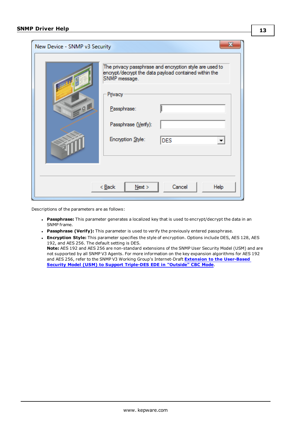| x<br>New Device - SNMP v3 Security       |                                                                                                                                                                                                                        |  |
|------------------------------------------|------------------------------------------------------------------------------------------------------------------------------------------------------------------------------------------------------------------------|--|
| $Q_{\perp}$                              | The privacy passphrase and encryption style are used to<br>encrypt/decrypt the data payload contained within the<br>SNMP message.<br>Privacy<br>Passphrase:<br>Passphrase (Verify):<br>Encryption Style:<br><b>DES</b> |  |
| < <u>B</u> ack<br>Next<br>Cancel<br>Help |                                                                                                                                                                                                                        |  |

Descriptions of the parameters are as follows:

- **Passphrase:** This parameter generates a localized key that is used to encrypt/decrypt the data in an SNMP frame.
- <sup>l</sup> **Passphrase (Verify):** This parameter is used to verify the previously entered passphrase.
- **Encryption Style:** This parameter specifies the style of encryption. Options include DES, AES 128, AES 192, and AES 256. The default setting is DES.

**Note:** AES 192 and AES 256 are non-standard extensions of the SNMP User Security Model (USM) and are not supported by all SNMP V3 Agents. For more information on the key expansion algorithms for AES 192 and AES 256, refer to the SNMP V3 Working Group's Internet-Draft **Extension to the [User-Based](http://www.snmp.com/eso/draft-reeder-snmpv3-usm-3desede-00.txt) Security Model (USM) to Support [Triple-DES](http://www.snmp.com/eso/draft-reeder-snmpv3-usm-3desede-00.txt) EDE in "Outside" CBC Mode**.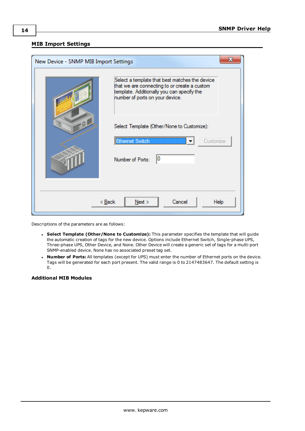## <span id="page-13-0"></span>**MIB Import Settings**

| х<br>New Device - SNMP MIB Import Settings |                                                                                                                                                                                 |  |
|--------------------------------------------|---------------------------------------------------------------------------------------------------------------------------------------------------------------------------------|--|
|                                            | Select a template that best matches the device<br>that we are connecting to or create a custom<br>template. Additionally you can specify the<br>number of ports on your device. |  |
|                                            | Select Template (Other/None to Customize):<br><b>Ethemet Switch</b><br>Customize                                                                                                |  |
|                                            | 10<br>Number of Ports:                                                                                                                                                          |  |
| Cancel<br>< <u>B</u> ack<br>Next ><br>Help |                                                                                                                                                                                 |  |

Descriptions of the parameters are as follows:

- <sup>l</sup> **Select Template (Other/None to Customize):** This parameter specifies the template that will guide the automatic creation of tags for the new device. Options include Ethernet Switch, Single-phase UPS, Three-phase UPS, Other Device, and None. Other Device will create a generic set of tags for a multi-port SNMP-enabled device. None has no associated preset tag set.
- <sup>l</sup> **Number of Ports:** All templates (except for UPS) must enter the number of Ethernet ports on the device. Tags will be generated for each port present. The valid range is 0 to 2147483647. The default setting is 0.

## **Additional MIB Modules**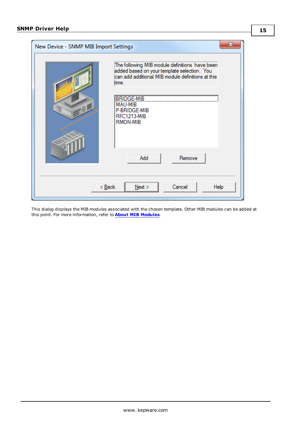| x<br>New Device - SNMP MIB Import Settings |                                                                                                                                                             |  |
|--------------------------------------------|-------------------------------------------------------------------------------------------------------------------------------------------------------------|--|
|                                            | The following MIB module definitions have been<br>added based on your template selection. You<br>can add additional MIB module definitions at this<br>time. |  |
| 10                                         | <b>BRIDGE-MIB</b><br><b>MAU-MIB</b><br>P-BRIDGE-MIB<br>RFC1213-MIB<br>RMON-MIB                                                                              |  |
| Remove<br>Add                              |                                                                                                                                                             |  |
| Cancel<br>Next<br>< <u>B</u> ack<br>Help   |                                                                                                                                                             |  |

This dialog displays the MIB modules associated with the chosen template. Other MIB modules can be added at this point. For more information, refer to **About MIB [Modules](#page-24-0)**.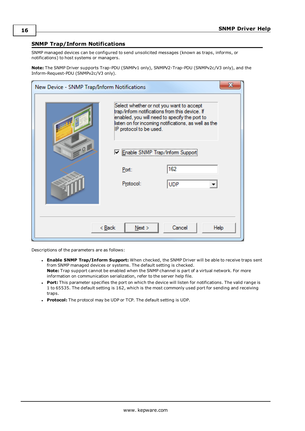## <span id="page-15-0"></span>**SNMP Trap/Inform Notifications**

SNMP managed devices can be configured to send unsolicited messages (known as traps, informs, or notifications) to host systems or managers.

**Note:** The SNMP Driver supports Trap-PDU (SNMPv1 only), SNMPV2-Trap-PDU (SNMPv2c/V3 only), and the Inform-Request-PDU (SNMPv2c/V3 only).

| x<br>New Device - SNMP Trap/Inform Notifications |                                                                                                                                                                                                                                |            |  |
|--------------------------------------------------|--------------------------------------------------------------------------------------------------------------------------------------------------------------------------------------------------------------------------------|------------|--|
|                                                  | Select whether or not you want to accept<br>trap/inform notifications from this device. If<br>enabled, you will need to specify the port to<br>listen on for incoming notifications, as well as the<br>IP protocol to be used. |            |  |
| 9                                                | T Enable SNMP Trap/Inform Support                                                                                                                                                                                              |            |  |
|                                                  | Port:                                                                                                                                                                                                                          | 162        |  |
|                                                  | Protocol:                                                                                                                                                                                                                      | <b>UDP</b> |  |
|                                                  |                                                                                                                                                                                                                                |            |  |
| Cancel<br>< Back<br>Next<br>Help                 |                                                                                                                                                                                                                                |            |  |

Descriptions of the parameters are as follows:

- <sup>l</sup> **Enable SNMP Trap/Inform Support:** When checked, the SNMP Driver will be able to receive traps sent from SNMP managed devices or systems. The default setting is checked. **Note:** Trap support cannot be enabled when the SNMP channel is part of a virtual network. For more information on communication serialization, refer to the server help file.
- **Port:** This parameter specifies the port on which the device will listen for notifications. The valid range is 1 to 65535. The default setting is 162, which is the most commonly used port for sending and receiving traps.
- **Protocol:** The protocol may be UDP or TCP. The default setting is UDP.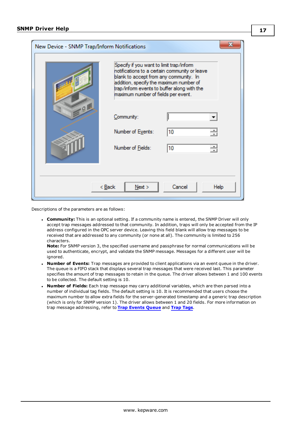| New Device - SNMP Trap/Inform Notifications |                                                                                                                                                                                                                                                                      |          |  |
|---------------------------------------------|----------------------------------------------------------------------------------------------------------------------------------------------------------------------------------------------------------------------------------------------------------------------|----------|--|
|                                             | Specify if you want to limit trap/inform<br>notifications to a certain community or leave<br>blank to accept from any community. In<br>addition, specify the maximum number of<br>trap/inform events to buffer along with the<br>maximum number of fields per event. |          |  |
|                                             | Community:<br>Number of Events:<br>Number of Fields:                                                                                                                                                                                                                 | 10<br>10 |  |
| Cancel<br>< <u>B</u> ack<br>Next<br>Help    |                                                                                                                                                                                                                                                                      |          |  |

Descriptions of the parameters are as follows:

<sup>l</sup> **Community:** This is an optional setting. If a community name is entered, the SNMP Driver will only accept trap messages addressed to that community. In addition, traps will only be accepted from the IP address configured in the OPC server device. Leaving this field blank will allow trap messages to be received that are addressed to any community (or none at all). The community is limited to 256 characters.

**Note:** For SNMP version 3, the specified username and passphrase for normal communications will be used to authenticate, encrypt, and validate the SNMP message. Messages for a different user will be ignored.

- <sup>l</sup> **Number of Events:** Trap messages are provided to client applications via an event queue in the driver. The queue is a FIFO stack that displays several trap messages that were received last. This parameter specifies the amount of trap messages to retain in the queue. The driver allows between 1 and 100 events to be collected. The default setting is 10.
- <sup>l</sup> **Number of Fields:** Each trap message may carry additional variables, which are then parsed into a number of individual tag fields. The default setting is 10. It is recommended that users choose the maximum number to allow extra fields for the server-generated timestamp and a generic trap description (which is only for SNMP version 1). The driver allows between 1 and 20 fields. For more information on trap message addressing, refer to **Trap [Events](#page-28-0) Queue** and **Trap [Tags](#page-26-0)**.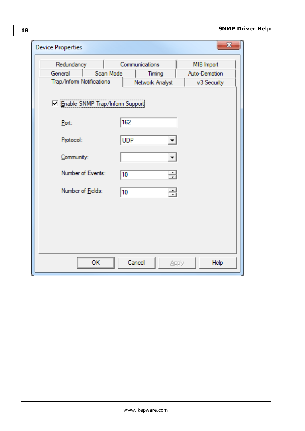| <b>Device Properties</b>          |           |                 |       | $\mathbf{x}$  |
|-----------------------------------|-----------|-----------------|-------|---------------|
| Redundancy                        |           | Communications  |       | MIB Import    |
| General                           | Scan Mode | Timing          |       | Auto-Demotion |
| Trap/Inform Notifications         |           | Network Analyst |       | v3 Security   |
| T Enable SNMP Trap/Inform Support |           |                 |       |               |
| Port:                             |           | 162             |       |               |
| Protocol:                         |           | <b>UDP</b>      |       |               |
| Community:                        |           |                 |       |               |
| Number of Events:                 |           | 10              | 싈     |               |
| Number of Fields:                 |           | 10              | ÷     |               |
|                                   |           |                 |       |               |
|                                   |           |                 |       |               |
|                                   |           |                 |       |               |
|                                   |           |                 |       |               |
|                                   | OK        | Cancel          | Apply | Help          |

**18**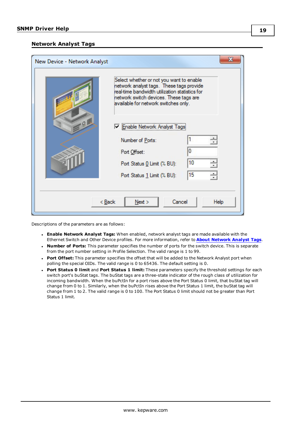## <span id="page-18-0"></span>**Network Analyst Tags**

| New Device - Network Analyst |                                                                                                                                                                                                                          | x    |
|------------------------------|--------------------------------------------------------------------------------------------------------------------------------------------------------------------------------------------------------------------------|------|
|                              | Select whether or not you want to enable<br>network analyst tags. These tags provide<br>real-time bandwidth utilization statistics for<br>network switch devices. These tags are<br>available for network switches only. |      |
| Q                            | √ Enable Network Analyst Tags                                                                                                                                                                                            |      |
|                              | Number of Ports:                                                                                                                                                                                                         |      |
|                              | Port Offset:                                                                                                                                                                                                             |      |
|                              | Port Status 0 Limit (% BU):                                                                                                                                                                                              | 10   |
|                              | Port Status 1 Limit (% BU):                                                                                                                                                                                              | 15   |
|                              |                                                                                                                                                                                                                          |      |
| < Back                       | Cancel<br>Next                                                                                                                                                                                                           | Help |

Descriptions of the parameters are as follows:

- <sup>l</sup> **Enable Network Analyst Tags:** When enabled, network analyst tags are made available with the Ethernet Switch and Other Device profiles. For more information, refer to **About [Network](#page-25-0) Analyst Tags**.
- <sup>l</sup> **Number of Ports:** This parameter specifies the number of ports for the switch device. This is separate from the port number setting in Profile Selection. The valid range is 1 to 99.
- **Port Offset:** This parameter specifies the offset that will be added to the Network Analyst port when polling the special OIDs. The valid range is 0 to 65436. The default setting is 0.
- <sup>l</sup> **Port Status 0 limit** and **Port Status 1 limit:** These parameters specify the threshold settings for each switch port's buStat tags. The buStat tags are a three-state indicator of the rough class of utilization for incoming bandwidth. When the buPctIn for a port rises above the Port Status 0 limit, that buStat tag will change from 0 to 1. Similarly, when the buPctIn rises above the Port Status 1 limit, the buStat tag will change from 1 to 2. The valid range is 0 to 100. The Port Status 0 limit should not be greater than Port Status 1 limit.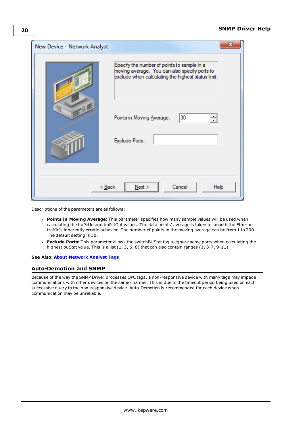| New Device - Network Analyst |                                                                                                                                                    |
|------------------------------|----------------------------------------------------------------------------------------------------------------------------------------------------|
|                              | Specify the number of points to sample in a<br>moving average. You can also specify ports to<br>exclude when calculating the highest status limit. |
| $Q_{\perp}$                  | 30<br>Points in Moving Average:                                                                                                                    |
|                              | Exclude Ports:                                                                                                                                     |
| < Back                       | Next<br>Cancel<br>Help                                                                                                                             |

Descriptions of the parameters are as follows:

- <sup>l</sup> **Points in Moving Average:** This parameter specifies how many sample values will be used when calculating the buPctIn and buPctOut values. The data points' average is taken to smooth the Ethernet traffic's inherently erratic behavior. The number of points in the moving average can be from 1 to 200. The default setting is 30.
- <sup>l</sup> **Exclude Ports:** This parameter allows the switchBUStat tag to ignore some ports when calculating the highest buStat value. This is a list  $(1, 3, 6, 8)$  that can also contain ranges  $(1, 3\n-7, 9\n-11)$ .

#### <span id="page-19-0"></span>**See Also: About [Network](#page-25-0) Analyst Tags**

## **Auto-Demotion and SNMP**

Because of the way the SNMP Driver processes OPC tags, a non-responsive device with many tags may impede communications with other devices on the same channel. This is due to the timeout period being used on each successive query to the non-responsive device. Auto-Demotion is recommended for each device when communication may be unreliable.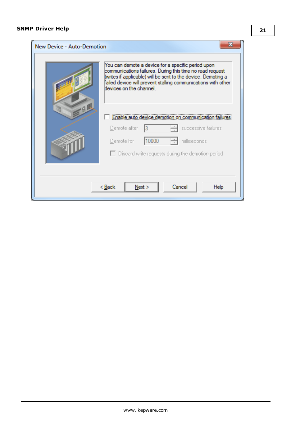| New Device - Auto-Demotion               | You can demote a device for a specific period upon<br>communications failures. During this time no read request<br>(writes if applicable) will be sent to the device. Demoting a<br>failed device will prevent stalling communications with other<br>devices on the channel |  |
|------------------------------------------|-----------------------------------------------------------------------------------------------------------------------------------------------------------------------------------------------------------------------------------------------------------------------------|--|
| 9 <sub>1</sub>                           | Enable auto device demotion on communication<br>successive failures<br>Demote after<br>10000<br>Demote for<br>milliseconds<br>$\Box$ Discard write requests during the demotion period                                                                                      |  |
| Cancel<br>Next<br>< <u>B</u> ack<br>Help |                                                                                                                                                                                                                                                                             |  |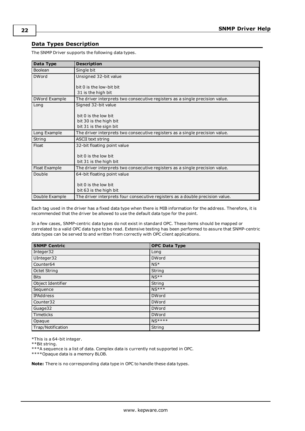## <span id="page-21-0"></span>**Data Types Description**

The SNMP Driver supports the following data types.

| <b>Data Type</b> | <b>Description</b>                                                            |
|------------------|-------------------------------------------------------------------------------|
| Boolean          | Single bit                                                                    |
| <b>DWord</b>     | Unsigned 32-bit value                                                         |
|                  | bit 0 is the low-bit bit                                                      |
|                  | 31 is the high bit                                                            |
| DWord Example    | The driver interprets two consecutive registers as a single precision value.  |
| Long             | Signed 32-bit value                                                           |
|                  | bit 0 is the low bit                                                          |
|                  | bit 30 is the high bit                                                        |
|                  | bit 31 is the sign bit                                                        |
| Long Example     | The driver interprets two consecutive registers as a single precision value.  |
| String           | <b>ASCII text string</b>                                                      |
| Float            | 32-bit floating point value                                                   |
|                  |                                                                               |
|                  | bit 0 is the low bit                                                          |
|                  | bit 31 is the high bit                                                        |
| Float Example    | The driver interprets two consecutive registers as a single precision value.  |
| Double           | 64-bit floating point value                                                   |
|                  |                                                                               |
|                  | bit 0 is the low bit                                                          |
|                  | bit 63 is the high bit                                                        |
| Double Example   | The driver interprets four consecutive registers as a double precision value. |

Each tag used in the driver has a fixed data type when there is MIB information for the address. Therefore, it is recommended that the driver be allowed to use the default data type for the point.

In a few cases, SNMP-centric data types do not exist in standard OPC. These items should be mapped or correlated to a valid OPC data type to be read. Extensive testing has been performed to assure that SNMP-centric data types can be served to and written from correctly with OPC client applications.

| <b>SNMP Centric</b>   | <b>OPC Data Type</b> |
|-----------------------|----------------------|
| Integer32             | Long                 |
| UInteger32            | <b>DWord</b>         |
| Counter <sub>64</sub> | $NS*$                |
| Octet String          | String               |
| <b>Bits</b>           | $NS**$               |
| Object Identifier     | String               |
| Sequence              | $NS***$              |
| IPAddress             | <b>DWord</b>         |
| Counter32             | <b>DWord</b>         |
| Guage32               | <b>DWord</b>         |
| Timeticks             | <b>DWord</b>         |
| Opaque                | <b>NS****</b>        |
| Trap/Notification     | String               |

\*This is a 64-bit integer.

\*\*Bit string.

\*\*\*A sequence is a list of data. Complex data is currently not supported in OPC.

\*\*\*\*Opaque data is a memory BLOB.

**Note:** There is no corresponding data type in OPC to handle these data types.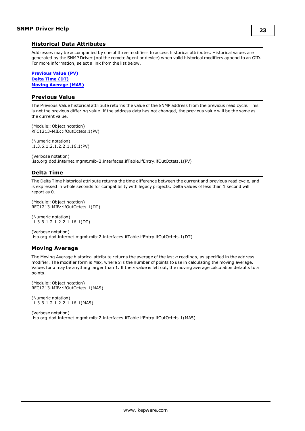## <span id="page-22-0"></span>**Historical Data Attributes**

Addresses may be accompanied by one of three modifiers to access historical attributes. Historical values are generated by the SNMP Driver (not the remote Agent or device) when valid historical modifiers append to an OID. For more information, select a link from the list below.

**[Previous](#page-22-1) Value (PV) [Delta](#page-22-2) Time (DT) Moving [Average](#page-22-3) (MA5)**

## <span id="page-22-1"></span>**Previous Value**

The Previous Value historical attribute returns the value of the SNMP address from the previous read cycle. This is not the previous differing value. If the address data has not changed, the previous value will be the same as the current value.

(Module::Object notation) RFC1213-MIB::ifOutOctets.1(PV)

(Numeric notation) .1.3.6.1.2.1.2.2.1.16.1(PV)

(Verbose notation) .iso.org.dod.internet.mgmt.mib-2.interfaces.ifTable.ifEntry.ifOutOctets.1(PV)

## <span id="page-22-2"></span>**Delta Time**

The Delta Time historical attribute returns the time difference between the current and previous read cycle, and is expressed in whole seconds for compatibility with legacy projects. Delta values of less than 1 second will report as 0.

(Module::Object notation) RFC1213-MIB::ifOutOctets.1(DT)

(Numeric notation) .1.3.6.1.2.1.2.2.1.16.1(DT)

(Verbose notation) .iso.org.dod.internet.mgmt.mib-2.interfaces.ifTable.ifEntry.ifOutOctets.1(DT)

## <span id="page-22-3"></span>**Moving Average**

The Moving Average historical attribute returns the average of the last *n* readings, as specified in the address modifier. The modifier form is Max, where *x* is the number of points to use in calculating the moving average. Values for *x* may be anything larger than 1. If the *x* value is left out, the moving average calculation defaults to 5 points.

(Module::Object notation) RFC1213-MIB::ifOutOctets.1(MA5)

(Numeric notation) .1.3.6.1.2.1.2.2.1.16.1(MA5)

(Verbose notation) .iso.org.dod.internet.mgmt.mib-2.interfaces.ifTable.ifEntry.ifOutOctets.1(MA5)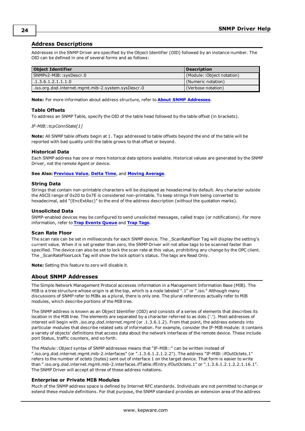## <span id="page-23-0"></span>**Address Descriptions**

Addresses in the SNMP Driver are specified by the Object Identifier (OID) followed by an instance number. The OID can be defined in one of several forms and as follows:

| <b>Object Identifier</b>                          | <b>Description</b>        |
|---------------------------------------------------|---------------------------|
| SNMPv2-MIB::sysDescr.0                            | (Module::Object notation) |
| 1.1.3.6.1.2.1.1.1.0                               | (Numeric notation)        |
| iso.org.dod.internet.mgmt.mib-2.system.sysDescr.0 | (Verbose notation)        |

**Note:** For more information about address structure, refer to **About SNMP [Addresses](#page-23-1)**.

#### **Table Offsets**

To address an SNMP Table, specify the OID of the table head followed by the table offset (in brackets).

#### *IF-MIB::tcpConnState[1]*

**Note:** All SNMP table offsets begin at 1. Tags addressed to table offsets beyond the end of the table will be reported with bad quality until the table grows to that offset or beyond.

#### **Historical Data**

Each SNMP address has one or more historical data options available. Historical values are generated by the SNMP Driver, not the remote Agent or device.

**See Also: [Previous](#page-22-1) Value**, **[Delta](#page-22-2) Time**, and **Moving [Average](#page-22-3)**.

#### **String Data**

Strings that contain non-printable characters will be displayed as hexadecimal by default. Any character outside the ASCII range of 0x20 to 0x7E is considered non-printable. To keep strings from being converted to hexadecimal, add "(EncExtAsc)" to the end of the address description (without the quotation marks).

#### **Unsolicited Data**

SNMP-enabled devices may be configured to send unsolicited messages, called traps (or notifications). For more information, refer to **Trap [Events](#page-28-0) Queue** and **Trap [Tags](#page-26-0)**.

#### **Scan Rate Floor**

The scan rate can be set in milliseconds for each SNMP device. The \_ScanRateFloor Tag will display the setting's current value. When it is set greater than zero, the SNMP Driver will not allow tags to be scanned faster than specified. The device can also be set to lock the scan rate at this value, prohibiting any change by the OPC client. The \_ScanRateFloorLock Tag will show the lock option's status. The tags are Read Only.

<span id="page-23-1"></span>**Note:** Setting this feature to zero will disable it.

#### **About SNMP Addresses**

The Simple Network Management Protocol accesses information in a Management Information Base (MIB). The MIB is a tree structure whose origin is at the top, which is a node labeled ".1" or ".iso." Although many discussions of SNMP refer to MIBs as a plural, there is only one. The plural references actually refer to MIB modules, which describe portions of the MIB tree.

The SNMP address is known as an Object Identifier (OID) and consists of a series of elements that describes its location in the MIB tree. The elements are separated by a character referred to as dots ('.'). Most addresses of interest will begin with *.iso.org.dod.internet.mgmt* (or .1.3.6.1.2). From that point, the address extends into particular modules that describe related sets of information. For example, consider the IF-MIB module: it contains a variety of objects' definitions that access data about the network interfaces of the remote device. These include port Status, traffic counters, and so forth.

The *Module::Object* syntax of SNMP addresses means that "IF-MIB::" can be written instead of ".iso.org.dod.internet.mgmt.mib-2.interfaces" (or ".1.3.6.1.2.1.2.2"). The address "IF-MIB::ifOutOctets.1" refers to the number of octets (bytes) sent out of interface 1 on the target device. That form is easier to write than ".iso.org.dod.internet.mgmt.mib-2.interfaces.ifTable.ifEntry.ifOutOctets.1" or ".1.3.6.1.2.1.2.2.1.16.1". The SNMP Driver will accept all three of these address notations.

#### **Enterprise or Private MIB Modules**

Much of the SNMP address space is defined by Internet RFC standards. Individuals are not permitted to change or extend these module definitions. For that purpose, the SNMP standard provides an extension area of the address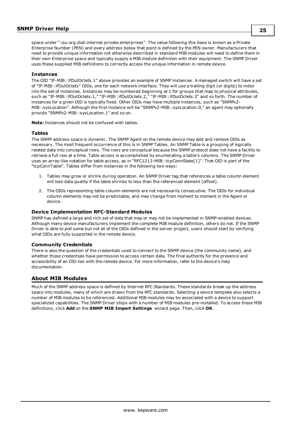space under ".iso.org.dod.internet.private.enterprises". The value following this base is known as a Private Enterprise Number (PEN) and every address below that point is defined by the PEN owner. Manufacturers that need to provide unique information not otherwise described in standard MIB modules will need to define them in their own Enterprise space and typically supply a MIB module definition with their equipment. The SNMP Driver uses these supplied MIB definitions to correctly access the unique information in remote device.

#### **Instances**

The OID "IF-MIB::ifOutOctets.1" above provides an example of SNMP instances. A managed switch will have a set of "IF-MIB::ifOutOctets" OIDs, one for each network interface. They will use a trailing digit (or digits) to index into the set of instances. Instances may be numbered beginning at 1 for groups that map to physical attributes, such as "IF-MIB::ifOutOctets.1," "IF-MIB::ifOutOctets.2," "IF-MIB::ifOutOctets.3" and so forth. The number of instances for a given OID is typically fixed. Other OIDs may have multiple instances, such as "SNMPv2- MIB::sysLocation". Although the first instance will be "SNMPv2-MIB::sysLocation.0," an agent may optionally provide "SNMPv2-MIB::sysLocation.1" and so on.

**Note:** Instances should not be confused with tables.

#### **Tables**

The SNMP address space is dynamic. The SNMP Agent on the remote device may add and remove OIDs as necessary. The most frequent occurrence of this is in SNMP Tables. An SNMP Table is a grouping of logically related data into conceptual rows. The rows are conceptual because the SNMP protocol does not have a facility to retrieve a full row at a time. Table access is accomplished by enumerating a table's columns. The SNMP Driver uses an array-like notation for table access, as in "RFC1213-MIB::tcpConnState[1]". That OID is part of the "tcpConnTable". Tables differ from instances in the following two ways:

- 1. Tables may grow or shrink during operation. An SNMP Driver tag that references a table column element will lose data quality if the table shrinks to less than the referenced element (offset).
- 2. The OIDs representing table column elements are not necessarily consecutive. The OIDs for individual column elements may not be predictable, and may change from moment to moment in the Agent or device.

#### **Device Implementation RFC-Standard Modules**

SNMP has defined a large and rich set of data that may or may not be implemented in SNMP-enabled devices. Although many device manufacturers implement the complete MIB module definition, others do not. If the SNMP Driver is able to poll some but not all of the OIDs defined in the server project, users should start by verifying what OIDs are fully supported in the remote device.

#### **Community Credentials**

There is also the question of the credentials used to connect to the SNMP device (the community name), and whether those credentials have permission to access certain data. The final authority for the presence and accessibility of an OID lies with the remote device. For more information, refer to the device's help documentation.

#### <span id="page-24-0"></span>**About MIB Modules**

Much of the SNMP address space is defined by Internet RFC Standards. These standards break up the address space into modules, many of which are drawn from the RFC standards. Selecting a device template also selects a number of MIB modules to be referenced. Additional MIB modules may be associated with a device to support specialized capabilities. The SNMP Driver ships with a number of MIB modules pre-installed. To access these MIB definitions, click **Add** on the **SNMP MIB Import Settings** wizard page. Then, click **OK**.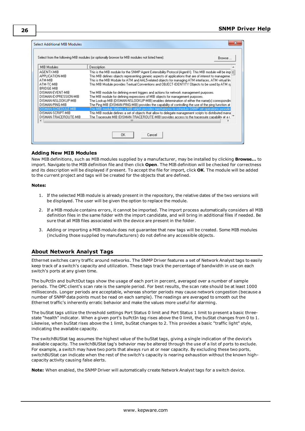|                       | Browse                                                                                                           |  |  |
|-----------------------|------------------------------------------------------------------------------------------------------------------|--|--|
| MIB Modules           | Description                                                                                                      |  |  |
| AGENTX-MIB            | This is the MIB module for the SNMP Agent Extensibility Protocol (AgentX). This MIB module will be imp[ $\equiv$ |  |  |
| APPLICATION-MIB       | This MIB defines objects representing generic aspects of applications that are of interest to manageme.          |  |  |
| ATM-MIB               | This is the MIB Module for ATM and AAL5-related objects for managing ATM interfaces, ATM virtual lin             |  |  |
| ATM-TC-MIB            | This MIB Module provides Textual Conventions and OBJECT-IDENTITY Objects to be used by ATM sy                    |  |  |
| BRIDGE-MIB            |                                                                                                                  |  |  |
| DISMAN-EVENT-MIB      | The MIB module for defining event triggers and actions for network management purposes.                          |  |  |
| DISMAN-EXPRESSION-MIB | The MIB module for defining expressions of MIB objects for management purposes.                                  |  |  |
| DISMAN-NSLOOKUP-MIB   | The Lookup MIB (DISMAN-NSLOOKUP-MIB) enables determination of either the name(s) correspondin                    |  |  |
| DISMAN-PING-MIB       | The Ping MIB (DISMAN-PING-MIB) provides the capability of controlling the use of the ping function at            |  |  |
| DISMAN-SCHEDULE-MIB   | This MIB module defines a MIB which provides mechanisms to schedule SNMP set operations periodic                 |  |  |
| DISMAN-SCRIPT-MIB     | This MIB module defines a set of objects that allow to delegate management scripts to distributed manal          |  |  |
| DISMAN-TRACEROUTE-MIB | The Traceroute MIB (DISMAN-TRACEROUTE-MIB) provides access to the traceroute capability at a r.                  |  |  |
| ∢                     | ш                                                                                                                |  |  |

#### **Adding New MIB Modules**

New MIB definitions, such as MIB modules supplied by a manufacturer, may be installed by clicking **Browse...** to import. Navigate to the MIB definition file and then click **Open**. The MIB definition will be checked for correctness and its description will be displayed if present. To accept the file for import, click **OK**. The module will be added to the current project and tags will be created for the objects that are defined.

#### **Notes:**

- 1. If the selected MIB module is already present in the repository, the relative dates of the two versions will be displayed. The user will be given the option to replace the module.
- 2. If a MIB module contains errors, it cannot be imported. The import process automatically considers all MIB definition files in the same folder with the import candidate, and will bring in additional files if needed. Be sure that all MIB files associated with the device are present in the folder.
- 3. Adding or importing a MIB module does not guarantee that new tags will be created. Some MIB modules (including those supplied by manufacturers) do not define any accessible objects.

## <span id="page-25-0"></span>**About Network Analyst Tags**

Ethernet switches carry traffic around networks. The SNMP Driver features a set of Network Analyst tags to easily keep track of a switch's capacity and utilization. These tags track the percentage of bandwidth in use on each switch's ports at any given time.

The buPctIn and buPctOut tags show the usage of each port in percent, averaged over a number of sample periods. The OPC client's scan rate is the sample period. For best results, the scan rate should be at least 1000 milliseconds. Longer periods are acceptable, whereas shorter periods may cause network congestion (because a number of SNMP data points must be read on each sample). The readings are averaged to smooth out the Ethernet traffic's inherently erratic behavior and make the values more useful for alarming.

The buStat tags utilize the threshold settings Port Status 0 limit and Port Status 1 limit to present a basic threestate "health" indicator. When a given port's buPctIn tag rises above the 0 limit, the buStat changes from 0 to 1. Likewise, when buStat rises above the 1 limit, buStat changes to 2. This provides a basic "traffic light" style, indicating the available capacity.

The switchBUStat tag assumes the highest value of the buStat tags, giving a single indication of the device's available capacity. The switchBUStat tag's behavior may be altered through the use of a list of ports to exclude. For example, a switch may have two ports that always run at or near capacity. By excluding these two ports, switchBUStat can indicate when the rest of the switch's capacity is nearing exhaustion without the known highcapacity activity causing false alerts.

**Note:** When enabled, the SNMP Driver will automatically create Network Analyst tags for a switch device.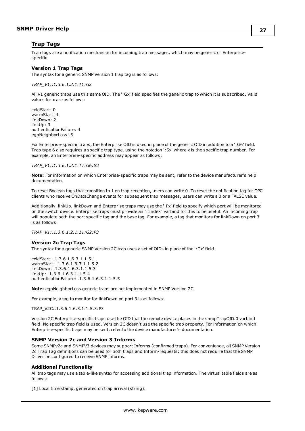## <span id="page-26-0"></span>**Trap Tags**

Trap tags are a notification mechanism for incoming trap messages, which may be generic or Enterprisespecific.

#### **Version 1 Trap Tags**

The syntax for a generic SNMP Version 1 trap tag is as follows:

*TRAP\_V1:.1.3.6.1.2.1.11:Gx*

All V1 generic traps use this same OID. The ':Gx' field specifies the generic trap to which it is subscribed. Valid values for x are as follows:

coldStart: 0 warmStart: 1 linkDown: 2 linkUp: 3 authenticationFailure: 4 egpNeighborLoss: 5

For Enterprise-specific traps, the Enterprise OID is used in place of the generic OID in addition to a ':G6' field. Trap type 6 also requires a specific trap type, using the notation ':Sx' where x is the specific trap number. For example, an Enterprise-specific address may appear as follows:

#### *TRAP\_V1:.1.3.6.1.2.1.17:G6:S2*

**Note:** For information on which Enterprise-specific traps may be sent, refer to the device manufacturer's help documentation.

To reset Boolean tags that transition to 1 on trap reception, users can write 0. To reset the notification tag for OPC clients who receive OnDataChange events for subsequent trap messages, users can write a 0 or a FALSE value.

Additionally, linkUp, linkDown and Enterprise traps may use the ':Px' field to specify which port will be monitored on the switch device. Enterprise traps must provide an "ifIndex" varbind for this to be useful. An incoming trap will populate both the port specific tag and the base tag. For example, a tag that monitors for linkDown on port 3 is as follows:

*TRAP\_V1:.1.3.6.1.2.1.11:G2:P3*

#### **Version 2c Trap Tags**

The syntax for a generic SNMP Version 2C trap uses a set of OIDs in place of the ':Gx' field.

coldStart: .1.3.6.1.6.3.1.1.5.1 warmStart: .1.3.6.1.6.3.1.1.5.2 linkDown: .1.3.6.1.6.3.1.1.5.3 linkUp: .1.3.6.1.6.3.1.1.5.4 authenticationFailure: .1.3.6.1.6.3.1.1.5.5

**Note:** egpNeighborLoss generic traps are not implemented in SNMP Version 2C.

For example, a tag to monitor for linkDown on port 3 is as follows:

TRAP\_V2C:.1.3.6.1.6.3.1.1.5.3:P3

Version 2C Enterprise-specific traps use the OID that the remote device places in the snmpTrapOID.0 varbind field. No specific trap field is used. Version 2C doesn't use the specific trap property. For information on which Enterprise-specific traps may be sent, refer to the device manufacturer's documentation.

#### **SNMP Version 2c and Version 3 Informs**

Some SNMPv2c and SNMPV3 devices may support Informs (confirmed traps). For convenience, all SNMP Version 2c Trap Tag definitions can be used for both traps and Inform-requests: this does not require that the SNMP Driver be configured to receive SNMP informs.

#### **Additional Functionality**

All trap tags may use a table-like syntax for accessing additional trap information. The virtual table fields are as follows:

[1] Local time stamp, generated on trap arrival (string).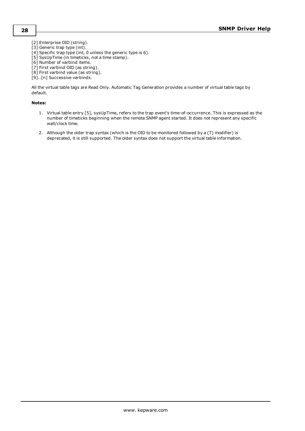- [2] Enterprise OID (string).
- [3] Generic trap type (int).
- [4] Specific trap type (int, 0 unless the generic type is 6).
- [5] SysUpTime (in timeticks, not a time stamp).
- [6] Number of varbind items.
- [7] First varbind OID (as string).
- [8] First varbind value (as string).
- [9]..[n] Successive varbinds.

All the virtual table tags are Read Only. Automatic Tag Generation provides a number of virtual table tags by default.

#### **Notes:**

- 1. Virtual table entry [5], sysUpTime, refers to the trap event's time-of-occurrence. This is expressed as the number of timeticks beginning when the remote SNMP agent started. It does not represent any specific wall/clock time.
- 2. Although the older trap syntax (which is the OID to be monitored followed by a (T) modifier) is deprecated, it is still supported. The older syntax does not support the virtual table information.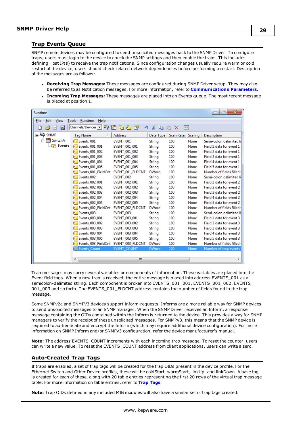## <span id="page-28-0"></span>**Trap Events Queue**

SNMP remote devices may be configured to send unsolicited messages back to the SNMP Driver. To configure traps, users must login to the device to check the SNMP settings and then enable the traps. This includes defining Host IP(s) to receive the trap notifications. Since configuration changes usually require warm or cold restart of the device, users should check related network dependencies before performing a restart. Description of the messages are as follows:

- <sup>l</sup> **Receiving Trap Messages:** These messages are configured during SNMP Driver setup. They may also be referred to as Notification messages. For more information, refer to **[Communications](#page-8-0) Parameters**.
- <sup>l</sup> **Incoming Trap Messages:** These messages are placed into an Events queue. The most recent message is placed at position 1.

| $\mathbf{x}$<br>回<br>Runtime<br>$=$                                                                          |                       |                         |               |           |         |                          |  |  |
|--------------------------------------------------------------------------------------------------------------|-----------------------|-------------------------|---------------|-----------|---------|--------------------------|--|--|
| File<br>Edit<br>Runtime<br>View<br>Help<br>Tools                                                             |                       |                         |               |           |         |                          |  |  |
| $ {\rm Channels}/{\rm Devices} \mathbf{v} $<br>鑩<br>防御<br>匷<br>Ж<br>ø<br>ະຈ<br>n an<br>Ю<br>BX<br>de la<br>ы |                       |                         |               |           |         |                          |  |  |
| $\Box$ SNMP                                                                                                  | <b>Tag Name</b>       | <b>Address</b>          | Data Type     | Scan Rate | Scaling | Description              |  |  |
| 白咖 SwitchA                                                                                                   | Events 001            | EVENT 001               | String        | 100       | None    | Semi-colon delimited li  |  |  |
| <b>F</b> Events                                                                                              | <b>Events 001 001</b> | <b>EVENT 001 001</b>    | <b>String</b> | 100       | None    | Field 1 data for event 1 |  |  |
|                                                                                                              | <b>Events 001 002</b> | EVENT_001_002           | String        | 100       | None    | Field 2 data for event 1 |  |  |
|                                                                                                              | Events 001 003        | <b>EVENT 001 003</b>    | <b>String</b> | 100       | None    | Field 3 data for event 1 |  |  |
|                                                                                                              | Events 001 004        | <b>EVENT 001 004</b>    | String        | 100       | None    | Field 4 data for event 1 |  |  |
|                                                                                                              | Events 001 005        | <b>EVENT 001 005</b>    | <b>String</b> | 100       | None    | Field 5 data for event 1 |  |  |
|                                                                                                              | Events_001_FieldCnt   | EVENT_001_FLDCNT        | <b>DWord</b>  | 100       | None    | Number of fields filled  |  |  |
|                                                                                                              | Events 002            | EVENT 002               | <b>String</b> | 100       | None    | Semi-colon delimited li  |  |  |
|                                                                                                              | Events 002 001        | <b>EVENT 002 001</b>    | String        | 100       | None    | Field 1 data for event 2 |  |  |
|                                                                                                              | Events 002 002        | <b>EVENT 002 002</b>    | String        | 100       | None    | Field 2 data for event 2 |  |  |
|                                                                                                              | Events 002 003        | EVENT 002 003           | <b>String</b> | 100       | None    | Field 3 data for event 2 |  |  |
|                                                                                                              | Events 002 004        | <b>EVENT 002 004</b>    | String        | 100       | None    | Field 4 data for event 2 |  |  |
|                                                                                                              | Events 002 005        | <b>EVENT 002 005</b>    | <b>String</b> | 100       | None    | Field 5 data for event 2 |  |  |
|                                                                                                              | Events_002_FieldCnt   | <b>EVENT 002 FLDCNT</b> | <b>DWord</b>  | 100       | None    | Number of fields filled  |  |  |
|                                                                                                              | Events 003            | EVENT 003               | <b>String</b> | 100       | None    | Semi-colon delimited li  |  |  |
|                                                                                                              | Events 003_001        | EVENT 003 001           | String        | 100       | None    | Field 1 data for event 3 |  |  |
|                                                                                                              | Events 003 002        | <b>EVENT 003 002</b>    | String        | 100       | None    | Field 2 data for event 3 |  |  |
|                                                                                                              | Events 003 003        | EVENT 003 003           | String        | 100       | None    | Field 3 data for event 3 |  |  |
|                                                                                                              | Events 003 004        | <b>EVENT 003 004</b>    | String        | 100       | None    | Field 4 data for event 3 |  |  |
|                                                                                                              | Events 003 005        | <b>EVENT 003 005</b>    | String        | 100       | None    | Field 5 data for event 3 |  |  |
|                                                                                                              | Events 003 FieldCnt   | EVENT 003 FLDCNT        | <b>DWord</b>  | 100       | None    | Number of fields filled  |  |  |
|                                                                                                              | <b>Events Count</b>   | <b>EVENT COUNT</b>      | <b>DWord</b>  | 100       | None    | Number of trap events    |  |  |
|                                                                                                              |                       |                         |               |           |         |                          |  |  |
|                                                                                                              | ∢                     | Ш                       |               |           |         | ь                        |  |  |

Trap messages may carry several variables or components of information. These variables are placed into the Event field tags. When a new trap is received, the entire message is placed into address EVENTS\_001 as a semicolon-delimited string. Each component is broken into EVENTS\_001\_001, EVENTS\_001\_002, EVENTS\_ 001\_003 and so forth. The EVENTS\_001\_FLDCNT address contains the number of fields found in the trap message.

Some SNMPv2c and SNMPV3 devices support Inform-requests. Informs are a more reliable way for SNMP devices to send unsolicited messages to an SNMP manager. When the SNMP Driver receives an Inform, a response message containing the OIDs contained within the Inform is returned to the device. This provides a way for SNMP managers to verify the receipt of these unsolicited messages. For SNMPV3, this means that the SNMP device is required to authenticate and encrypt the Inform (which may require additional device configuration). For more information on SNMP Inform and/or SNMPV3 configuration, refer the device manufacturer's manual.

**Note:** The address EVENTS\_COUNT increments with each incoming trap message. To reset the counter, users can write a new value. To reset the EVENTS\_COUNT address from client applications, users can write a zero.

## <span id="page-28-1"></span>**Auto-Created Trap Tags**

If traps are enabled, a set of trap tags will be created for the trap OIDs present in the device profile. For the Ethernet Switch and Other Device profiles, these will be coldStart, warmStart, linkUp, and linkDown. A base tag is created for each of these, along with 20 table entries representing the first 20 rows of the virtual trap message table. For more information on table entries, refer to **Trap [Tags](#page-26-0)**.

**Note:** Trap OIDs defined in any included MIB modules will also have a similar set of trap tags created.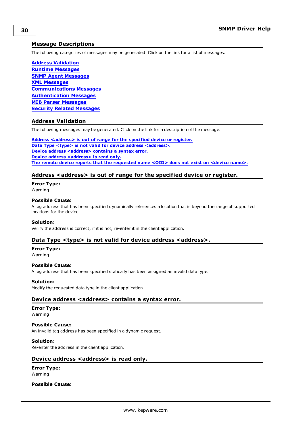## <span id="page-29-0"></span>**Message Descriptions**

The following categories of messages may be generated. Click on the link for a list of messages.

**Address [Validation](#page-29-1) Runtime [Messages](#page-30-1) SNMP Agent [Messages](#page-36-2) XML [Messages](#page-37-4) [Communications](#page-38-1) Messages [Authentication](#page-39-3) Messages MIB Parser [Messages](#page-40-1) Security Related [Messages](#page-46-2)**

#### <span id="page-29-1"></span>**Address Validation**

The following messages may be generated. Click on the link for a description of the message.

**Address [<address>](#page-29-2) is out of range for the specified device or register. Data Type <type> is not valid for device address [<address>.](#page-29-3) Device address [<address>](#page-29-4)** contains a syntax error. **Device address [<address>](#page-29-5)** is read only. **The remote device reports that the [requested](#page-30-0) name <OID> does not exist on <device name>.**

## <span id="page-29-2"></span>**Address <address> is out of range for the specified device or register.**

**Error Type:**

Warning

## **Possible Cause:**

A tag address that has been specified dynamically references a location that is beyond the range of supported locations for the device.

#### **Solution:**

<span id="page-29-3"></span>Verify the address is correct; if it is not, re-enter it in the client application.

#### **Data Type <type> is not valid for device address <address>.**

## **Error Type:**

Warning

#### **Possible Cause:**

A tag address that has been specified statically has been assigned an invalid data type.

#### **Solution:**

<span id="page-29-4"></span>Modify the requested data type in the client application.

#### **Device address <address> contains a syntax error.**

#### **Error Type:**

Warning

**Possible Cause:**

An invalid tag address has been specified in a dynamic request.

#### **Solution:**

<span id="page-29-5"></span>Re-enter the address in the client application.

#### **Device address <address>** is read only.

**Error Type:** Warning

**Possible Cause:**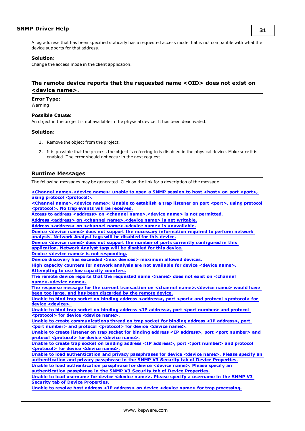A tag address that has been specified statically has a requested access mode that is not compatible with what the device supports for that address.

#### **Solution:**

Change the access mode in the client application.

## <span id="page-30-0"></span>**The remote device reports that the requested name <OID> does not exist on <device name>.**

**Error Type:**

Warning

#### **Possible Cause:**

An object in the project is not available in the physical device. It has been deactivated.

#### **Solution:**

- 1. Remove the object from the project.
- 2. It is possible that the process the object is referring to is disabled in the physical device. Make sure it is enabled. The error should not occur in the next request.

#### <span id="page-30-1"></span>**Runtime Messages**

The following messages may be generated. Click on the link for a description of the message.

**<Channel [name>.<device](#page-31-0) name>: unable to open a SNMP session to host <host> on port <port>, using protocol [<protocol>.](#page-31-0) <Channel [name>.<device](#page-31-1) name>: Unable to establish a trap listener on port <port>, using protocol [<protocol>.](#page-31-1) No trap events will be received. Access to address <address> on <channel [name>.<device](#page-31-2) name> is not permitted. Address <address> on <channel [name>.<device](#page-31-3) name> is not writable. Address <address> on <channel [name>.<device](#page-32-0) name> is unavailable. Device <device name> does not support the necessary [information](#page-32-1) required to perform network [analysis.](#page-32-1) Network Analyst tags will be disabled for this device. Device <device name> does not support the number of ports currently [configured](#page-32-2) in this [application.](#page-32-2) Network Analyst tags will be disabled for this device. Device <device name> is not [responding.](#page-32-3) Device discovery has exceeded <max devices> [maximum](#page-33-0) allowed devices. High capacity counters for network analysis are not [available](#page-33-1) for device <device name>. [Attempting](#page-33-1) to use low capacity counters. The remote device reports that the [requested](#page-33-2) name <name> does not exist on <channel [name>.<device](#page-33-2) name>. The response message for the current transaction on <channel [name>.<device](#page-33-3) name> would have been too large, and has been [discarded](#page-33-3) by the remote device. Unable to bind trap socket on binding address [<address>,](#page-34-0) port <port> and protocol <protocol> for device [<device>.](#page-34-0) Unable to bind trap socket on binding address <IP [address>,](#page-34-1) port <port number> and protocol [<protocol>](#page-34-1) for device <device name>. Unable to create [communications](#page-34-2) thread on trap socket for binding address <IP address>, port <port number> and protocol [<protocol>](#page-34-2) for device <device name>. Unable to create listener on trap socket for binding address <IP [address>,](#page-34-3) port <port number> and protocol [<protocol>](#page-34-3) for device <device name>. Unable to create trap socket on binding address <IP [address>,](#page-35-0) port <port number> and protocol [<protocol>](#page-35-0) for device <device name>. Unable to load [authentication](#page-35-1) and privacy passphrases for device <device name>. Please specify an [authentication](#page-35-1) and privacy passphrase in the SNMP V3 Security tab of Device Properties. Unable to load [authentication](#page-35-2) passphrase for device <device name>. Please specify an [authentication](#page-35-2) passphrase in the SNMP V3 Security tab of Device Properties. Unable to load [username](#page-35-3) for device <device name>. Please specify a username in the SNMP V3 Security tab of Device [Properties.](#page-35-3) Unable to resolve host address <IP address> on device <device name> for trap [processing.](#page-36-0)**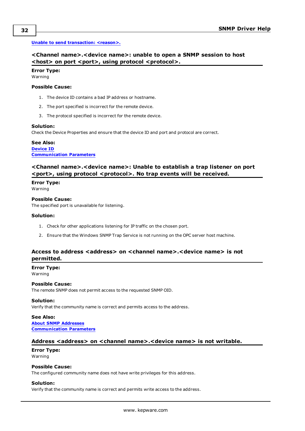#### <span id="page-31-0"></span>**Unable to send [transaction:](#page-36-1) <reason>.**

## **<Channel name>.<device name>: unable to open a SNMP session to host <host> on port <port>, using protocol <protocol>.**

## **Error Type:**

Warning

### **Possible Cause:**

- 1. The device ID contains a bad IP address or hostname.
- 2. The port specified is incorrect for the remote device.
- 3. The protocol specified is incorrect for the remote device.

#### **Solution:**

Check the Device Properties and ensure that the device ID and port and protocol are correct.

## **See Also: [Device](#page-6-1) ID [Communication](#page-9-0) Parameters**

## <span id="page-31-1"></span>**<Channel name>.<device name>: Unable to establish a trap listener on port <port>, using protocol <protocol>. No trap events will be received.**

#### **Error Type:**

Warning

#### **Possible Cause:**

The specified port is unavailable for listening.

#### **Solution:**

- 1. Check for other applications listening for IP traffic on the chosen port.
- 2. Ensure that the Windows SNMP Trap Service is not running on the OPC server host machine.

## <span id="page-31-2"></span>**Access to address <address> on <channel name>.<device name> is not permitted.**

**Error Type:** Warning

## **Possible Cause:**

The remote SNMP does not permit access to the requested SNMP OID.

### **Solution:**

Verify that the community name is correct and permits access to the address.

**See Also: About SNMP [Addresses](#page-23-1) [Communication](#page-9-1) Parameters**

#### <span id="page-31-3"></span>**Address <address> on <channel name>.<device name> is not writable.**

#### **Error Type:** Warning

#### **Possible Cause:**

The configured community name does not have write privileges for this address.

#### **Solution:**

Verify that the community name is correct and permits write access to the address.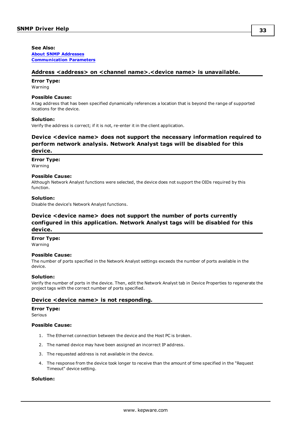**See Also: About SNMP [Addresses](#page-23-1) [Communication](#page-9-1) Parameters**

#### <span id="page-32-0"></span>**Address <address> on <channel name>.<device name> is unavailable.**

**Error Type:** Warning

#### **Possible Cause:**

A tag address that has been specified dynamically references a location that is beyond the range of supported locations for the device.

#### **Solution:**

<span id="page-32-1"></span>Verify the address is correct; if it is not, re-enter it in the client application.

## **Device <device name> does not support the necessary information required to perform network analysis. Network Analyst tags will be disabled for this device.**

#### **Error Type:**

Warning

#### **Possible Cause:**

Although Network Analyst functions were selected, the device does not support the OIDs required by this function.

#### **Solution:**

<span id="page-32-2"></span>Disable the device's Network Analyst functions.

## **Device <device name> does not support the number of ports currently configured in this application. Network Analyst tags will be disabled for this device.**

#### **Error Type:**

Warning

#### **Possible Cause:**

The number of ports specified in the Network Analyst settings exceeds the number of ports available in the device.

#### **Solution:**

Verify the number of ports in the device. Then, edit the Network Analyst tab in Device Properties to regenerate the project tags with the correct number of ports specified.

#### <span id="page-32-3"></span>**Device <device name> is not responding.**

#### **Error Type:**

Serious

### **Possible Cause:**

- 1. The Ethernet connection between the device and the Host PC is broken.
- 2. The named device may have been assigned an incorrect IP address.
- 3. The requested address is not available in the device.
- 4. The response from the device took longer to receive than the amount of time specified in the "Request Timeout" device setting.

#### **Solution:**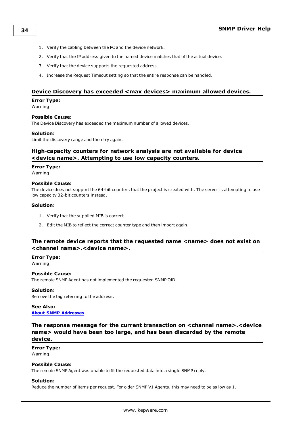- 1. Verify the cabling between the PC and the device network.
- 2. Verify that the IP address given to the named device matches that of the actual device.
- 3. Verify that the device supports the requested address.
- 4. Increase the Request Timeout setting so that the entire response can be handled.

## <span id="page-33-0"></span>**Device Discovery has exceeded <max devices> maximum allowed devices.**

#### **Error Type:**

Warning

#### **Possible Cause:**

The Device Discovery has exceeded the maximum number of allowed devices.

#### **Solution:**

<span id="page-33-1"></span>Limit the discovery range and then try again.

## **High-capacity counters for network analysis are not available for device <device name>. Attempting to use low capacity counters.**

#### **Error Type:**

Warning

#### **Possible Cause:**

The device does not support the 64-bit counters that the project is created with. The server is attempting to use low capacity 32-bit counters instead.

#### **Solution:**

- 1. Verify that the supplied MIB is correct.
- 2. Edit the MIB to reflect the correct counter type and then import again.

## <span id="page-33-2"></span>**The remote device reports that the requested name <name> does not exist on <channel name>.<device name>.**

**Error Type:** Warning

#### **Possible Cause:**

The remote SNMP Agent has not implemented the requested SNMP OID.

#### **Solution:**

Remove the tag referring to the address.

#### **See Also: About SNMP [Addresses](#page-23-1)**

<span id="page-33-3"></span>**The response message for the current transaction on <channel name>.<device name> would have been too large, and has been discarded by the remote device.**

#### **Error Type:**

Warning

#### **Possible Cause:**

The remote SNMP Agent was unable to fit the requested data into a single SNMP reply.

#### **Solution:**

Reduce the number of items per request. For older SNMP V1 Agents, this may need to be as low as 1.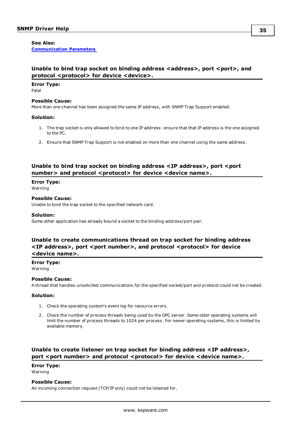#### **See Also:**

**[Communication](#page-9-1) Parameters**

## <span id="page-34-0"></span>**Unable to bind trap socket on binding address <address>, port <port>, and protocol <protocol> for device <device>.**

## **Error Type:**

Fatal

#### **Possible Cause:**

More than one channel has been assigned the same IP address, with SNMP Trap Support enabled.

#### **Solution:**

- 1. The trap socket is only allowed to bind to one IP address: ensure that that IP address is the one assigned to the PC.
- 2. Ensure that SNMP Trap Support is not enabled on more than one channel using the same address.

## <span id="page-34-1"></span>**Unable to bind trap socket on binding address <IP address>, port <port number> and protocol <protocol> for device <device name>.**

#### **Error Type:**

Warning

#### **Possible Cause:**

Unable to bind the trap socket to the specified network card.

#### **Solution:**

Some other application has already bound a socket to the binding address/port pair.

## <span id="page-34-2"></span>**Unable to create communications thread on trap socket for binding address**  $\langle$ **SIP** address>, port  $\langle$  port number>, and protocol  $\langle$  protocol> for device **<device name>.**

**Error Type:**

Warning

#### **Possible Cause:**

A thread that handles unsolicited communications for the specified socket/port and protocol could not be created.

#### **Solution:**

- 1. Check the operating system's event log for resource errors.
- 2. Check the number of process threads being used by the OPC server. Some older operating systems will limit the number of process threads to 1024 per process. For newer operating systems, this is limited by available memory.

## <span id="page-34-3"></span>**Unable to create listener on trap socket for binding address <IP address>, port** <port number> and protocol <protocol> for device <device name>.

## **Error Type:**

Warning

#### **Possible Cause:**

An incoming connection request (TCP/IP only) could not be listened for.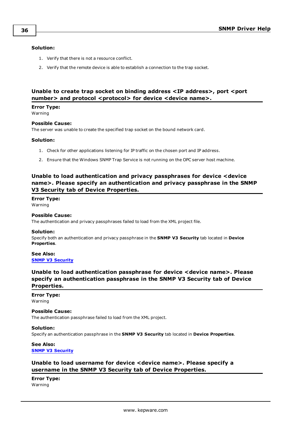#### **Solution:**

- 1. Verify that there is not a resource conflict.
- 2. Verify that the remote device is able to establish a connection to the trap socket.

## <span id="page-35-0"></span>**Unable to create trap socket on binding address <IP address>, port <port number> and protocol <protocol> for device <device name>.**

**Error Type:** Warning

#### **Possible Cause:**

The server was unable to create the specified trap socket on the bound network card.

#### **Solution:**

- 1. Check for other applications listening for IP traffic on the chosen port and IP address.
- 2. Ensure that the Windows SNMP Trap Service is not running on the OPC server host machine.

## <span id="page-35-1"></span>**Unable to load authentication and privacy passphrases for device <device name>. Please specify an authentication and privacy passphrase in the SNMP V3 Security tab of Device Properties.**

**Error Type:**

Warning

#### **Possible Cause:**

The authentication and privacy passphrases failed to load from the XML project file.

#### **Solution:**

Specify both an authentication and privacy passphrase in the **SNMP V3 Security** tab located in **Device Properties**.

**See Also: SNMP V3 [Security](#page-11-0)**

## <span id="page-35-2"></span>**Unable to load authentication passphrase for device <device name>. Please specify an authentication passphrase in the SNMP V3 Security tab of Device Properties.**

#### **Error Type:**

Warning

#### **Possible Cause:**

The authentication passphrase failed to load from the XML project.

#### **Solution:**

Specify an authentication passphrase in the **SNMP V3 Security** tab located in **Device Properties**.

## **See Also: [SNMP V3](#page-11-0) Security**

## <span id="page-35-3"></span>**Unable to load username for device <device name>. Please specify a username in the SNMP V3 Security tab of Device Properties.**

## **Error Type:**

Warning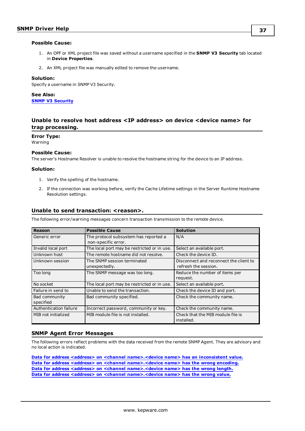#### **Possible Cause:**

- 1. An OPF or XML project file was saved without a username specified in the **SNMP V3 Security** tab located in **Device Properties**.
- 2. An XML project file was manually edited to remove the username.

#### **Solution:**

Specify a username in SNMP V3 Security.

**See Also: [SNMP V3](#page-11-0) Security**

## <span id="page-36-0"></span>**Unable to resolve host address <IP address> on device <device name> for trap processing.**

**Error Type:**

Warning

#### **Possible Cause:**

The server's Hostname Resolver is unable to resolve the hostname string for the device to an IP address.

#### **Solution:**

- 1. Verify the spelling of the hostname.
- 2. If the connection was working before, verify the Cache Lifetime settings in the Server Runtime Hostname Resolution settings.

#### <span id="page-36-1"></span>**Unable to send transaction: <reason>.**

The following error/warning messages concern transaction transmission to the remote device.

| Reason                 | <b>Possible Cause</b>                                        | <b>Solution</b>                        |
|------------------------|--------------------------------------------------------------|----------------------------------------|
| Generic error          | The protocol subsystem has reported a<br>non-specific error. | N/A                                    |
|                        |                                                              |                                        |
| Invalid local port     | The local port may be restricted or in use.                  | Select an available port.              |
| Unknown host           | The remote hostname did not resolve.                         | Check the device ID.                   |
| Unknown session        | The SNMP session terminated                                  | Disconnect and reconnect the client to |
|                        | unexpectedly.                                                | refresh the session.                   |
| Too long               | The SNMP message was too long.                               | Reduce the number of items per         |
|                        |                                                              | request.                               |
| No socket              | The local port may be restricted or in use.                  | Select an available port.              |
| Failure in send to     | Unable to send the transaction.                              | Check the device ID and port.          |
| Bad community          | Bad community specified.                                     | Check the community name.              |
| specified              |                                                              |                                        |
| Authentication failure | Incorrect password, community or key.                        | Check the community name.              |
| MIB not initialized    | MIB module file is not installed.                            | Check that the MIB module file is      |
|                        |                                                              | installed.                             |

## <span id="page-36-2"></span>**SNMP Agent Error Messages**

The following errors reflect problems with the data received from the remote SNMP Agent. They are advisory and no local action is indicated.

**Data for address <address> on <channel [name>.<device](#page-37-0) name> has an inconsistent value. Data for address <address> on <channel [name>.<device](#page-37-1) name> has the wrong encoding. Data for address <address> on <channel [name>.<device](#page-37-2) name> has the wrong length. Data for address <address> on <channel [name>.<device](#page-37-3) name> has the wrong value.**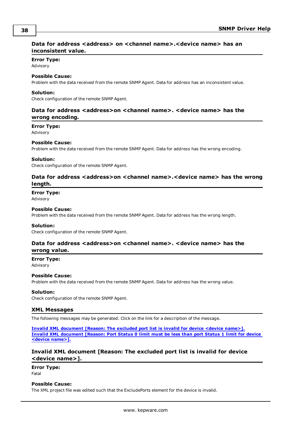## <span id="page-37-0"></span>**Data for address <address> on <channel name>.<device name> has an inconsistent value.**

#### **Error Type:**

Advisory

### **Possible Cause:**

Problem with the data received from the remote SNMP Agent. Data for address has an inconsistent value.

#### **Solution:**

<span id="page-37-1"></span>Check configuration of the remote SNMP Agent.

## **Data for address <address>on <channel name>. <device name> has the wrong encoding.**

#### **Error Type:**

Advisory

### **Possible Cause:**

Problem with the data received from the remote SNMP Agent. Data for address has the wrong encoding.

#### **Solution:**

<span id="page-37-2"></span>Check configuration of the remote SNMP Agent.

## **Data for address <address>on <channel name>.<device name> has the wrong length.**

#### **Error Type:**

Advisory

#### **Possible Cause:**

Problem with the data received from the remote SNMP Agent. Data for address has the wrong length.

#### **Solution:**

<span id="page-37-3"></span>Check configuration of the remote SNMP Agent.

## **Data for address <address>on <channel name>. <device name> has the wrong value.**

#### **Error Type:**

Advisory

#### **Possible Cause:**

Problem with the data received from the remote SNMP Agent. Data for address has the wrong value.

#### **Solution:**

<span id="page-37-4"></span>Check configuration of the remote SNMP Agent.

#### **XML Messages**

The following messages may be generated. Click on the link for a description of the message.

**Invalid XML [document](#page-37-5) [Reason: The excluded port list is invalid for device <device name>]. Invalid XML [document](#page-38-0) [Reason: Port Status 0 limit must be less than port Status 1 limit for device <device [name>\].](#page-38-0)**

## <span id="page-37-5"></span>**Invalid XML document [Reason: The excluded port list is invalid for device <device name>].**

**Error Type:** Fatal

### **Possible Cause:**

The XML project file was edited such that the ExcludePorts element for the device is invalid.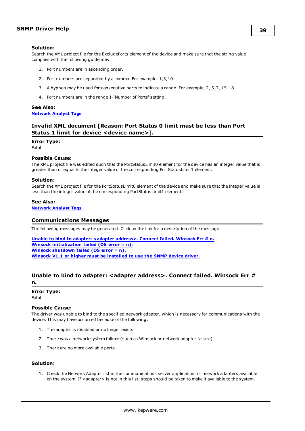#### **Solution:**

Search the XML project file for the ExcludePorts element of the device and make sure that the string value complies with the following guidelines:

- 1. Port numbers are in ascending order.
- 2. Port numbers are separated by a comma. For example, 1,3,10.
- 3. A hyphen may be used for consecutive ports to indicate a range. For example, 2, 5-7, 15-18.
- 4. Port numbers are in the range 1-'Number of Ports' setting.

#### **See Also: [Network](#page-18-0) Analyst Tags**

## <span id="page-38-0"></span>**Invalid XML document [Reason: Port Status 0 limit must be less than Port Status 1 limit for device <device name>].**

#### **Error Type:**

Fatal

#### **Possible Cause:**

The XML project file was edited such that the PortStatusLimit0 element for the device has an integer value that is greater than or equal to the integer value of the corresponding PortStatusLimit1 element.

#### **Solution:**

Search the XML project file for the PortStatusLimit0 element of the device and make sure that the integer value is less than the integer value of the corresponding PortStatusLimit1 element.

#### **See Also:**

<span id="page-38-1"></span>**[Network](#page-18-0) Analyst Tags**

#### **Communications Messages**

The following messages may be generated. Click on the link for a description of the message.

**Unable to bind to adapter: <adapter [address>.](#page-38-2) Connect failed. Winsock Err # n. Winsock [initialization](#page-39-0) failed (OS error = n). Winsock [shutdown](#page-39-1) failed (OS error = n). Winsock V1.1 or higher must be [installed](#page-39-2) to use the SNMP device driver.**

## <span id="page-38-2"></span>**Unable to bind to adapter: <adapter address>. Connect failed. Winsock Err # n.**

## **Error Type:**

Fatal

## **Possible Cause:**

The driver was unable to bind to the specified network adapter, which is necessary for communications with the device. This may have occurred because of the following:

- 1. The adapter is disabled or no longer exists
- 2. There was a network system failure (such as Winsock or network adapter failure).
- 3. There are no more available ports.

## **Solution:**

1. Check the Network Adapter list in the communications server application for network adapters available on the system. If <adapter> is not in this list, steps should be taken to make it available to the system.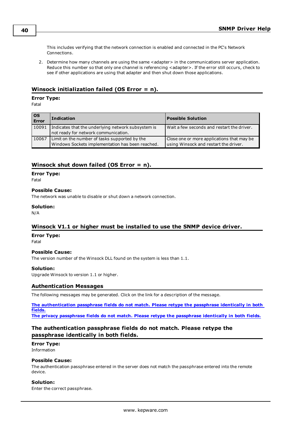This includes verifying that the network connection is enabled and connected in the PC's Network Connections.

2. Determine how many channels are using the same <adapter> in the communications server application. Reduce this number so that only one channel is referencing <adapter>. If the error still occurs, check to see if other applications are using that adapter and then shut down those applications.

## <span id="page-39-0"></span>**Winsock initialization failed (OS Error = n).**

## **Error Type:**

Fatal

| l OS<br>Error | <b>Indication</b>                                                                                 | <b>Possible Solution</b>                                                            |
|---------------|---------------------------------------------------------------------------------------------------|-------------------------------------------------------------------------------------|
| 10091         | Indicates that the underlying network subsystem is<br>not ready for network communication.        | Wait a few seconds and restart the driver.                                          |
| 10067         | Limit on the number of tasks supported by the<br>Windows Sockets implementation has been reached. | Close one or more applications that may be<br>using Winsock and restart the driver. |

## <span id="page-39-1"></span>**Winsock shut down failed (OS Error = n).**

#### **Error Type:**

Fatal

#### **Possible Cause:**

The network was unable to disable or shut down a network connection.

#### **Solution:**

<span id="page-39-2"></span>N/A

## **Winsock V1.1 or higher must be installed to use the SNMP device driver.**

#### **Error Type:**

Fatal

#### **Possible Cause:**

The version number of the Winsock DLL found on the system is less than 1.1.

## **Solution:**

<span id="page-39-3"></span>Upgrade Winsock to version 1.1 or higher.

#### **Authentication Messages**

The following messages may be generated. Click on the link for a description of the message.

**The [authentication](#page-39-4) passphrase fields do not match. Please retype the passphrase identically in both [fields.](#page-39-4)**

<span id="page-39-4"></span>**The privacy [passphrase](#page-40-0) fields do not match. Please retype the passphrase identically in both fields.**

## **The authentication passphrase fields do not match. Please retype the passphrase identically in both fields.**

#### **Error Type:**

Information

#### **Possible Cause:**

The authentication passphrase entered in the server does not match the passphrase entered into the remote device.

#### **Solution:**

Enter the correct passphrase.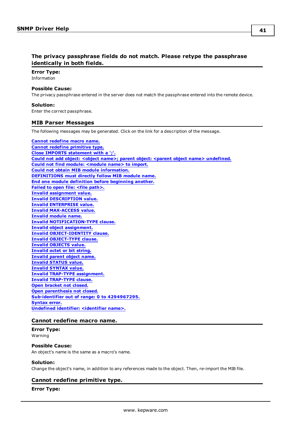## <span id="page-40-0"></span>**The privacy passphrase fields do not match. Please retype the passphrase identically in both fields.**

#### **Error Type:** Information

## **Possible Cause:**

The privacy passphrase entered in the server does not match the passphrase entered into the remote device.

#### **Solution:**

<span id="page-40-1"></span>Enter the correct passphrase.

#### **MIB Parser Messages**

The following messages may be generated. Click on the link for a description of the message.

#### **Cannot [redefine](#page-40-2) macro name.**

**Cannot redefine [primitive](#page-40-3) type. Close IMPORTS [statement](#page-41-0) with a ';'. Could not add object: <object name>; parent object: <parent object name> [undefined.](#page-41-1) Could not find module: [<module](#page-41-2) name> to import. Could not obtain MIB module [information.](#page-41-3) [DEFINITIONS](#page-41-4) must directly follow MIB module name. End one module definition before [beginning](#page-42-0) another. Failed to open file: <file [path>.](#page-42-1) Invalid [assignment](#page-42-2) value. Invalid [DESCRIPTION](#page-42-3) value. Invalid [ENTERPRISE](#page-42-4) value. Invalid [MAX-ACCESS](#page-43-0) value. Invalid [module](#page-43-1) name. Invalid [NOTIFICATION-TYPE](#page-43-2) clause. Invalid object [assignment.](#page-43-3) Invalid [OBJECT-IDENTITY](#page-43-4) clause. Invalid [OBJECT-TYPE](#page-43-5) clause. Invalid [OBJECTS](#page-44-0) value. [Invalid](#page-44-1) octet or bit string. [Invalid](#page-44-2) parent object name. Invalid [STATUS](#page-44-3) value. Invalid [SYNTAX](#page-44-4) value. Invalid TRAP-TYPE [assignment.](#page-45-0) Invalid [TRAP-TYPE](#page-45-1) clause. Open [bracket](#page-45-2) not closed. Open [parenthesis](#page-45-3) not closed. Sub-identifier out of range: 0 to [4294967295.](#page-45-4) [Syntax](#page-46-0) error. Undefined identifier: [<identifier](#page-46-1) name>.**

#### <span id="page-40-2"></span>**Cannot redefine macro name.**

#### **Error Type:** Warning

#### **Possible Cause:**

An object's name is the same as a macro's name.

#### **Solution:**

<span id="page-40-3"></span>Change the object's name, in addition to any references made to the object. Then, re-import the MIB file.

#### **Cannot redefine primitive type.**

#### **Error Type:**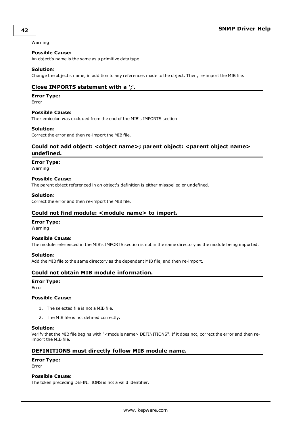#### Warning

#### **Possible Cause:**

An object's name is the same as a primitive data type.

#### **Solution:**

<span id="page-41-0"></span>Change the object's name, in addition to any references made to the object. Then, re-import the MIB file.

## **Close IMPORTS statement with a ';'.**

#### **Error Type:**

Error

#### **Possible Cause:**

The semicolon was excluded from the end of the MIB's IMPORTS section.

#### **Solution:**

<span id="page-41-1"></span>Correct the error and then re-import the MIB file.

## **Could not add object: <object name>; parent object: <parent object name> undefined.**

#### **Error Type:**

Warning

#### **Possible Cause:**

The parent object referenced in an object's definition is either misspelled or undefined.

#### **Solution:**

<span id="page-41-2"></span>Correct the error and then re-import the MIB file.

### **Could not find module: <module name> to import.**

#### **Error Type:**

Warning

#### **Possible Cause:**

The module referenced in the MIB's IMPORTS section is not in the same directory as the module being imported.

#### **Solution:**

<span id="page-41-3"></span>Add the MIB file to the same directory as the dependent MIB file, and then re-import.

#### **Could not obtain MIB module information.**

## **Error Type:**

Error

#### **Possible Cause:**

- 1. The selected file is not a MIB file.
- 2. The MIB file is not defined correctly.

#### **Solution:**

Verify that the MIB file begins with "<module name> DEFINITIONS". If it does not, correct the error and then reimport the MIB file.

### <span id="page-41-4"></span>**DEFINITIONS must directly follow MIB module name.**

#### **Error Type:**

Error

#### **Possible Cause:**

The token preceding DEFINITIONS is not a valid identifier.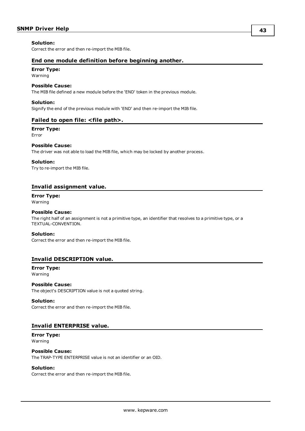#### **Solution:**

<span id="page-42-0"></span>Correct the error and then re-import the MIB file.

### **End one module definition before beginning another.**

### **Error Type:**

Warning

#### **Possible Cause:**

The MIB file defined a new module before the 'END' token in the previous module.

#### **Solution:**

<span id="page-42-1"></span>Signify the end of the previous module with 'END' and then re-import the MIB file.

## **Failed to open file: <file path>.**

#### **Error Type:**

Error

#### **Possible Cause:**

The driver was not able to load the MIB file, which may be locked by another process.

#### **Solution:**

Try to re-import the MIB file.

#### <span id="page-42-2"></span>**Invalid assignment value.**

## **Error Type:**

Warning

## **Possible Cause:**

The right half of an assignment is not a primitive type, an identifier that resolves to a primitive type, or a TEXTUAL-CONVENTION.

#### **Solution:**

Correct the error and then re-import the MIB file.

## <span id="page-42-3"></span>**Invalid DESCRIPTION value.**

#### **Error Type:** Warning

**Possible Cause:** The object's DESCRIPTION value is not a quoted string.

#### **Solution:**

Correct the error and then re-import the MIB file.

#### <span id="page-42-4"></span>**Invalid ENTERPRISE value.**

**Error Type:** Warning

#### **Possible Cause:**

The TRAP-TYPE ENTERPRISE value is not an identifier or an OID.

#### **Solution:**

Correct the error and then re-import the MIB file.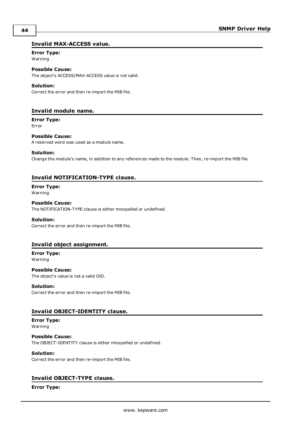## <span id="page-43-0"></span>**Invalid MAX-ACCESS value.**

## **Error Type:**

Warning

**Possible Cause:**

The object's ACCESS/MAX-ACCESS value is not valid.

#### **Solution:**

Correct the error and then re-import the MIB file.

## <span id="page-43-1"></span>**Invalid module name.**

**Error Type:** Error

## **Possible Cause:**

A reserved word was used as a module name.

#### **Solution:**

Change the module's name, in addition to any references made to the module. Then, re-import the MIB file.

## <span id="page-43-2"></span>**Invalid NOTIFICATION-TYPE clause.**

#### **Error Type:** Warning

## **Possible Cause:**

The NOTIFICATION-TYPE clause is either misspelled or undefined.

#### **Solution:**

Correct the error and then re-import the MIB file.

#### <span id="page-43-3"></span>**Invalid object assignment.**

**Error Type:** Warning

## **Possible Cause:** The object's value is not a valid OID.

#### **Solution:**

Correct the error and then re-import the MIB file.

## <span id="page-43-4"></span>**Invalid OBJECT-IDENTITY clause.**

#### **Error Type:** Warning

**Possible Cause:** The OBJECT-IDENTITY clause is either misspelled or undefined.

#### **Solution:**

Correct the error and then re-import the MIB file.

## <span id="page-43-5"></span>**Invalid OBJECT-TYPE clause.**

## **Error Type:**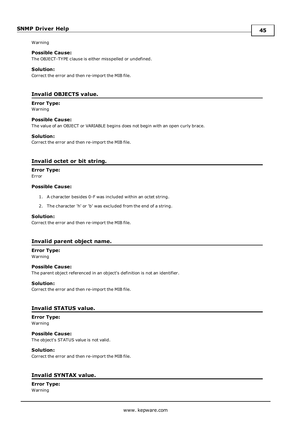## **SNMP Driver Help**

Warning

#### **Possible Cause:**

The OBJECT-TYPE clause is either misspelled or undefined.

#### **Solution:**

Correct the error and then re-import the MIB file.

## <span id="page-44-0"></span>**Invalid OBJECTS value.**

## **Error Type:**

Warning

## **Possible Cause:**

The value of an OBJECT or VARIABLE begins does not begin with an open curly brace.

#### **Solution:**

Correct the error and then re-import the MIB file.

## <span id="page-44-1"></span>**Invalid octet or bit string.**

#### **Error Type:**

Error

#### **Possible Cause:**

- 1. A character besides 0-F was included within an octet string.
- 2. The character 'h' or 'b' was excluded from the end of a string.

#### **Solution:**

Correct the error and then re-import the MIB file.

#### <span id="page-44-2"></span>**Invalid parent object name.**

**Error Type:**

Warning

**Possible Cause:** The parent object referenced in an object's definition is not an identifier.

#### **Solution:**

Correct the error and then re-import the MIB file.

## <span id="page-44-3"></span>**Invalid STATUS value.**

#### **Error Type:** Warning

**Possible Cause:** The object's STATUS value is not valid.

#### **Solution:**

Correct the error and then re-import the MIB file.

## <span id="page-44-4"></span>**Invalid SYNTAX value.**

**Error Type:** Warning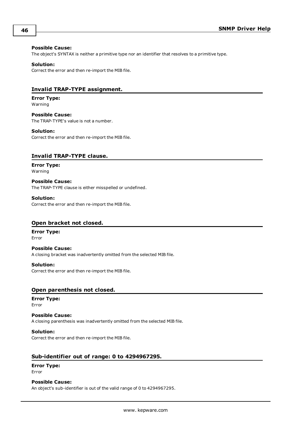#### **Possible Cause:**

The object's SYNTAX is neither a primitive type nor an identifier that resolves to a primitive type.

#### **Solution:**

Correct the error and then re-import the MIB file.

### <span id="page-45-0"></span>**Invalid TRAP-TYPE assignment.**

**Error Type:** Warning

**Possible Cause:** The TRAP-TYPE's value is not a number.

#### **Solution:**

Correct the error and then re-import the MIB file.

#### <span id="page-45-1"></span>**Invalid TRAP-TYPE clause.**

**Error Type:** Warning

**Possible Cause:** The TRAP-TYPE clause is either misspelled or undefined.

#### **Solution:**

Correct the error and then re-import the MIB file.

#### <span id="page-45-2"></span>**Open bracket not closed.**

**Error Type:** Error

**Possible Cause:** A closing bracket was inadvertently omitted from the selected MIB file.

**Solution:** Correct the error and then re-import the MIB file.

#### <span id="page-45-3"></span>**Open parenthesis not closed.**

#### **Error Type:** Error

**Possible Cause:** A closing parenthesis was inadvertently omitted from the selected MIB file.

**Solution:**

Correct the error and then re-import the MIB file.

## <span id="page-45-4"></span>**Sub-identifier out of range: 0 to 4294967295.**

#### **Error Type:** Error

### **Possible Cause:**

An object's sub-identifier is out of the valid range of 0 to 4294967295.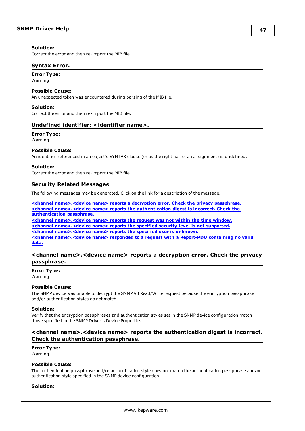#### **Solution:**

<span id="page-46-0"></span>Correct the error and then re-import the MIB file.

#### **Syntax Error.**

#### **Error Type:**

Warning

## **Possible Cause:**

An unexpected token was encountered during parsing of the MIB file.

#### **Solution:**

<span id="page-46-1"></span>Correct the error and then re-import the MIB file.

#### **Undefined identifier: <identifier name>.**

## **Error Type:**

Warning

#### **Possible Cause:**

An identifier referenced in an object's SYNTAX clause (or as the right half of an assignment) is undefined.

#### **Solution:**

<span id="page-46-2"></span>Correct the error and then re-import the MIB file.

#### **Security Related Messages**

The following messages may be generated. Click on the link for a description of the message.

**<channel [name>.<device](#page-46-3) name> reports a decryption error. Check the privacy passphrase. <channel [name>.<device](#page-46-4) name> reports the authentication digest is incorrect. Check the [authentication](#page-46-4) passphrase. <channel [name>.<device](#page-47-0) name> reports the request was not within the time window. <channel [name>.<device](#page-47-1) name> reports the specified security level is not supported. <channel [name>.<device](#page-47-2) name> reports the specified user is unknown. <channel [name>.<device](#page-47-3) name> responded to a request with a Report-PDU containing no valid [data.](#page-47-3)**

## <span id="page-46-3"></span>**<channel name>.<device name> reports a decryption error. Check the privacy passphrase.**

#### **Error Type:**

Warning

#### **Possible Cause:**

The SNMP device was unable to decrypt the SNMP V3 Read/Write request because the encryption passphrase and/or authentication styles do not match.

#### **Solution:**

Verify that the encryption passphrases and authentication styles set in the SNMP device configuration match those specified in the SNMP Driver's Device Properties.

## <span id="page-46-4"></span>**<channel name>.<device name> reports the authentication digest is incorrect. Check the authentication passphrase.**

#### **Error Type:**

Warning

#### **Possible Cause:**

The authentication passphrase and/or authentication style does not match the authentication passphrase and/or authentication style specified in the SNMP device configuration.

#### **Solution:**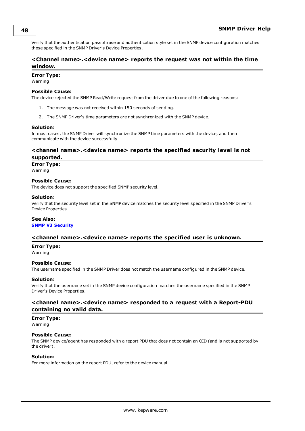<span id="page-47-4"></span>Verify that the authentication passphrase and authentication style set in the SNMP device configuration matches those specified in the SNMP Driver's Device Properties.

## <span id="page-47-0"></span>**<Channel name>.<device name> reports the request was not within the time window.**

## **Error Type:**

Warning

#### **Possible Cause:**

The device rejected the SNMP Read/Write request from the driver due to one of the following reasons:

- 1. The message was not received within 150 seconds of sending.
- 2. The SNMP Driver's time parameters are not synchronized with the SNMP device.

#### **Solution:**

In most cases, the SNMP Driver will synchronize the SNMP time parameters with the device, and then communicate with the device successfully.

### <span id="page-47-1"></span>**<channel name>.<device name> reports the specified security level is not supported.**

#### **Error Type:**

Warning

#### **Possible Cause:**

The device does not support the specified SNMP security level.

#### **Solution:**

Verify that the security level set in the SNMP device matches the security level specified in the SNMP Driver's Device Properties.

#### **See Also:**

#### <span id="page-47-2"></span>**SNMP V3 [Security](#page-11-0)**

#### **<channel name>.<device name> reports the specified user is unknown.**

#### **Error Type:**

Warning

#### **Possible Cause:**

The username specified in the SNMP Driver does not match the username configured in the SNMP device.

#### **Solution:**

Verify that the username set in the SNMP device configuration matches the username specified in the SNMP Driver's Device Properties.

## <span id="page-47-3"></span>**<channel name>.<device name> responded to a request with a Report-PDU containing no valid data.**

#### **Error Type:**

Warning

#### **Possible Cause:**

The SNMP device/agent has responded with a report PDU that does not contain an OID (and is not supported by the driver).

## **Solution:**

For more information on the report PDU, refer to the device manual.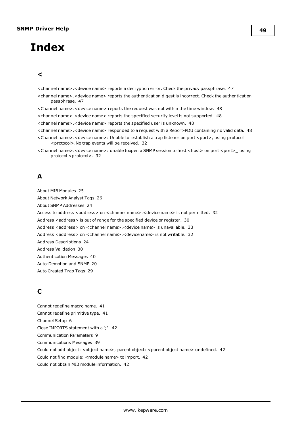# <span id="page-48-0"></span>**Index**

## **<**

<channel name>.<device name> reports a decryption error. Check the privacy passphrase. [47](#page-46-3) <channel name>.<device name> reports the authentication digest is incorrect. Check the authentication passphrase. [47](#page-46-4) <Channel name>.<device name> reports the request was not within the time window. [48](#page-47-0) <channel name>.<device name> reports the specified security level is not supported. [48](#page-47-4) <channel name>.<device name> reports the specified user is unknown. [48](#page-47-2) <channel name>.<device name> responded to a request with a Report-PDU containing no valid data. [48](#page-47-3) <Channel name>.<device name>: Unable to establish a trap listener on port <port>, using protocol <protocol>.No trap events will be received. [32](#page-31-1) <Channel name>.<device name>: unable toopen a SNMP session to host <host> on port <port>\_ using protocol <protocol>. [32](#page-31-0)

## **A**

About MIB Modules [25](#page-24-0) About Network Analyst Tags [26](#page-25-0) About SNMP Addresses [24](#page-23-1) Access to address <address> on <channel name>.<device name> is not permitted. [32](#page-31-2) Address <address> is out of range for the specified device or register. [30](#page-29-2) Address <address> on <channel name>.<device name> is unavailable. [33](#page-32-0) Address <address> on <channel name>.<devicename> is not writable. [32](#page-31-3) Address Descriptions [24](#page-23-0) Address Validation [30](#page-29-1) Authentication Messages [40](#page-39-3) Auto-Demotion and SNMP [20](#page-19-0) Auto Created Trap Tags [29](#page-28-1)

## **C**

Cannot redefine macro name. [41](#page-40-2) Cannot redefine primitive type. [41](#page-40-3) Channel Setup [6](#page-5-0) Close IMPORTS statement with a ';'. [42](#page-41-0) Communication Parameters [9](#page-8-0) Communications Messages [39](#page-38-1) Could not add object: <object name>; parent object: <parent object name> undefined. [42](#page-41-1) Could not find module: <module name> to import. [42](#page-41-2) Could not obtain MIB module information. [42](#page-41-3)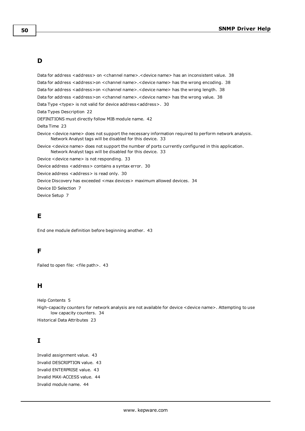## **D**

Data for address <address> on <channel name>.<device name> has an inconsistent value. [38](#page-37-0) Data for address <address>on <channel name>.<device name> has the wrong encoding. [38](#page-37-1) Data for address <address>on <channel name>.<device name> has the wrong length. [38](#page-37-2) Data for address <address>on <channel name>.<device name> has the wrong value. [38](#page-37-3) Data Type <type> is not valid for device address<address>. [30](#page-29-3) Data Types Description [22](#page-21-0) DEFINITIONS must directly follow MIB module name. [42](#page-41-4) Delta Time [23](#page-22-2) Device <device name> does not support the necessary information required to perform network analysis. Network Analyst tags will be disabled for this device. [33](#page-32-1) Device <device name> does not support the number of ports currently configured in this application. Network Analyst tags will be disabled for this device. [33](#page-32-2) Device <device name> is not responding. [33](#page-32-3) Device address < address > contains a syntax error. [30](#page-29-4) Device address <address> is read only. [30](#page-29-5)

Device Discovery has exceeded <max devices> maximum allowed devices. [34](#page-33-0)

Device ID Selection [7](#page-6-1)

Device Setup [7](#page-6-0)

## **E**

End one module definition before beginning another. [43](#page-42-0)

## **F**

Failed to open file: <file path>. [43](#page-42-1)

## **H**

```
Help Contents 5
```
High-capacity counters for network analysis are not available for device <device name>. Attempting to use low capacity counters. [34](#page-33-1)

Historical Data Attributes [23](#page-22-0)

## **I**

Invalid assignment value. [43](#page-42-2) Invalid DESCRIPTION value. [43](#page-42-3) Invalid ENTERPRISE value. [43](#page-42-4) Invalid MAX-ACCESS value. [44](#page-43-0) Invalid module name. [44](#page-43-1)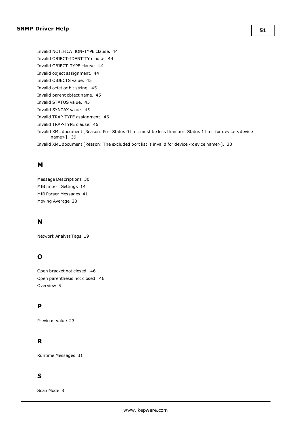Invalid NOTIFICATION-TYPE clause. [44](#page-43-2) Invalid OBJECT-IDENTITY clause. [44](#page-43-4) Invalid OBJECT-TYPE clause. [44](#page-43-5) Invalid object assignment. [44](#page-43-3) Invalid OBJECTS value. [45](#page-44-0) Invalid octet or bit string. [45](#page-44-1) Invalid parent object name. [45](#page-44-2) Invalid STATUS value. [45](#page-44-3) Invalid SYNTAX value. [45](#page-44-4) Invalid TRAP-TYPE assignment. [46](#page-45-0) Invalid TRAP-TYPE clause. [46](#page-45-1) Invalid XML document [Reason: Port Status 0 limit must be less than port Status 1 limit for device <device name>]. [39](#page-38-0) Invalid XML document [Reason: The excluded port list is invalid for device <device name>]. [38](#page-37-5)

## **M**

Message Descriptions [30](#page-29-0) MIB Import Settings [14](#page-13-0) MIB Parser Messages [41](#page-40-1) Moving Average [23](#page-22-3)

## **N**

Network Analyst Tags [19](#page-18-0)

## **O**

Open bracket not closed. [46](#page-45-2) Open parenthesis not closed. [46](#page-45-3) Overview [5](#page-4-1)

## **P**

Previous Value [23](#page-22-1)

## **R**

Runtime Messages [31](#page-30-1)

## **S**

Scan Mode [8](#page-7-0)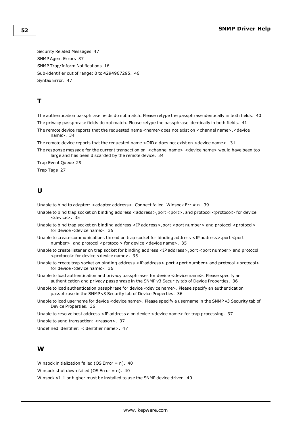Security Related Messages [47](#page-46-2) SNMP Agent Errors [37](#page-36-2) SNMP Trap/Inform Notifications [16](#page-15-0) Sub-identifier out of range: 0 to 4294967295. [46](#page-45-4) Syntax Error. [47](#page-46-0)

## **T**

The authentication passphrase fields do not match. Please retype the passphrase identically in both fields. [40](#page-39-4) The privacy passphrase fields do not match. Please retype the passphrase identically in both fields. [41](#page-40-0)

The remote device reports that the requested name < name>does not exist on < channel name>. < device name>. [34](#page-33-2)

The remote device reports that the requested name <OID> does not exist on <device name>. [31](#page-30-0)

The response message for the current transaction on <channel name>.<device name> would have been too large and has been discarded by the remote device. [34](#page-33-3)

Trap Event Queue [29](#page-28-0)

Trap Tags [27](#page-26-0)

## **U**

Unable to bind to adapter:  $\alpha$  adapter address >. Connect failed. Winsock Err  $\#$  n. [39](#page-38-2)

- Unable to bind trap socket on binding address <address>,port <port>, and protocol <protocol> for device <device>. [35](#page-34-0)
- Unable to bind trap socket on binding address <IP address>, port <port number> and protocol <protocol> for device <device name>. [35](#page-34-1)
- Unable to create communications thread on trap socket for binding address <IP address>, port <port number>, and protocol <protocol> for device <device name>. [35](#page-34-2)
- Unable to create listener on trap socket for binding address <IP address>,port <port number> and protocol <protocol> for device <device name>. [35](#page-34-3)
- Unable to create trap socket on binding address <IP address>, port <port number> and protocol <protocol> for device <device name>. [36](#page-35-0)

Unable to load authentication and privacy passphrases for device <device name>. Please specify an authentication and privacy passphrase in the SNMP v3 Security tab of Device Properties. [36](#page-35-1)

- Unable to load authentication passphrase for device <device name>. Please specify an authentication passphrase in the SNMP v3 Security tab of Device Properties. [36](#page-35-2)
- Unable to load username for device <device name>. Please specify a username in the SNMP v3 Security tab of Device Properties. [36](#page-35-3)

Unable to resolve host address <IP address> on device <device name> for trap processing. [37](#page-36-0)

Unable to send transaction: <reason>. [37](#page-36-1)

Undefined identifier: <identifier name>. [47](#page-46-1)

## **W**

Winsock initialization failed (OS Error = n). [40](#page-39-0)

Winsock shut down failed (OS Error =  $n$ ). [40](#page-39-1)

Winsock V1.1 or higher must be installed to use the SNMP device driver. [40](#page-39-2)